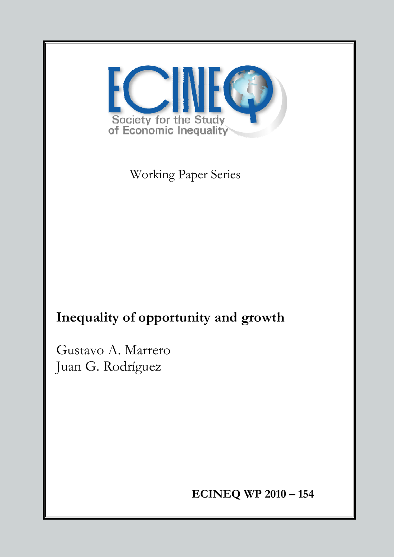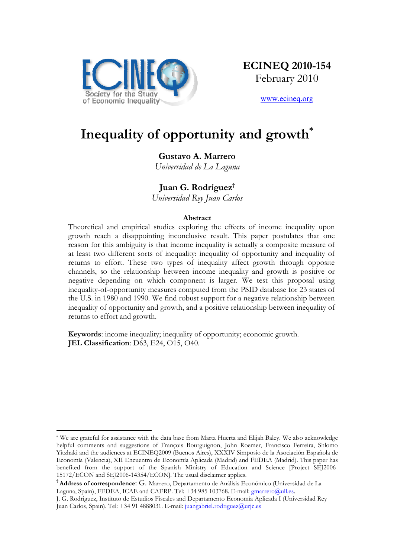

www.ecineq.org

# Inequality of opportunity and growth<sup>\*</sup>

# Gustavo A. Marrero

Universidad de La Laguna

# Juan G. Rodríguez†

Universidad Rey Juan Carlos

# Abstract

Theoretical and empirical studies exploring the effects of income inequality upon growth reach a disappointing inconclusive result. This paper postulates that one reason for this ambiguity is that income inequality is actually a composite measure of at least two different sorts of inequality: inequality of opportunity and inequality of returns to effort. These two types of inequality affect growth through opposite channels, so the relationship between income inequality and growth is positive or negative depending on which component is larger. We test this proposal using inequality-of-opportunity measures computed from the PSID database for 23 states of the U.S. in 1980 and 1990. We find robust support for a negative relationship between inequality of opportunity and growth, and a positive relationship between inequality of returns to effort and growth.

Keywords: income inequality; inequality of opportunity; economic growth. JEL Classification: D63, E24, O15, O40.

 $\overline{a}$ 

<sup>\*</sup> We are grateful for assistance with the data base from Marta Huerta and Elijah Baley. We also acknowledge helpful comments and suggestions of François Bourguignon, John Roemer, Francisco Ferreira, Shlomo Yitzhaki and the audiences at ECINEQ2009 (Buenos Aires), XXXIV Simposio de la Asociación Española de Economía (Valencia), XII Encuentro de Economía Aplicada (Madrid) and FEDEA (Madrid). This paper has benefited from the support of the Spanish Ministry of Education and Science [Project SEJ2006- 15172/ECON and SEJ2006-14354/ECON]. The usual disclaimer applies.

<sup>†</sup> Address of correspondence: G. Marrero, Departamento de Análisis Económico (Universidad de La Laguna, Spain), FEDEA, ICAE and CAERP. Tel: +34 985 103768. E-mail: *gmarrero@ull.es.* 

J. G. Rodriguez, Instituto de Estudios Fiscales and Departamento Economía Aplicada I (Universidad Rey Juan Carlos, Spain). Tel: +34 91 4888031. E-mail: juangabriel.rodriguez@urjc.es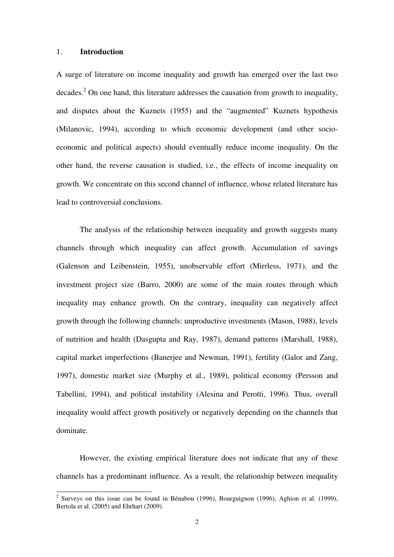## 1. **Introduction**

A surge of literature on income inequality and growth has emerged over the last two decades.<sup>2</sup> On one hand, this literature addresses the causation from growth to inequality, and disputes about the Kuznets (1955) and the "augmented" Kuznets hypothesis (Milanovic, 1994), according to which economic development (and other socioeconomic and political aspects) should eventually reduce income inequality. On the other hand, the reverse causation is studied, i.e., the effects of income inequality on growth. We concentrate on this second channel of influence, whose related literature has lead to controversial conclusions.

The analysis of the relationship between inequality and growth suggests many channels through which inequality can affect growth. Accumulation of savings (Galenson and Leibenstein, 1955), unobservable effort (Mirrless, 1971), and the investment project size (Barro, 2000) are some of the main routes through which inequality may enhance growth. On the contrary, inequality can negatively affect growth through the following channels: unproductive investments (Mason, 1988), levels of nutrition and health (Dasgupta and Ray, 1987), demand patterns (Marshall, 1988), capital market imperfections (Banerjee and Newman, 1991), fertility (Galor and Zang, 1997), domestic market size (Murphy et al., 1989), political economy (Persson and Tabellini, 1994), and political instability (Alesina and Perotti, 1996). Thus, overall inequality would affect growth positively or negatively depending on the channels that dominate.

However, the existing empirical literature does not indicate that any of these channels has a predominant influence. As a result, the relationship between inequality

<sup>&</sup>lt;sup>2</sup> Surveys on this issue can be found in Bénabou (1996), Bourguignon (1996), Aghion et al. (1999), Bertola et al. (2005) and Ehrhart (2009).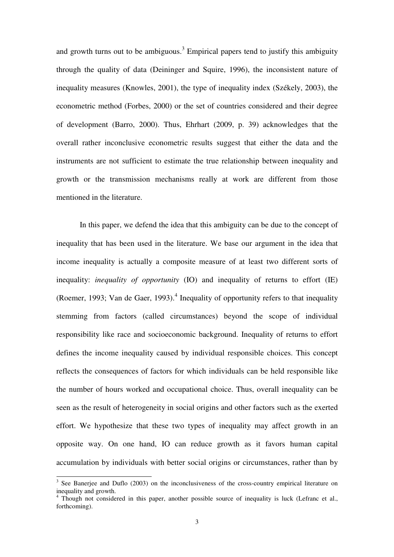and growth turns out to be ambiguous.<sup>3</sup> Empirical papers tend to justify this ambiguity through the quality of data (Deininger and Squire, 1996), the inconsistent nature of inequality measures (Knowles, 2001), the type of inequality index (Székely, 2003), the econometric method (Forbes, 2000) or the set of countries considered and their degree of development (Barro, 2000). Thus, Ehrhart (2009, p. 39) acknowledges that the overall rather inconclusive econometric results suggest that either the data and the instruments are not sufficient to estimate the true relationship between inequality and growth or the transmission mechanisms really at work are different from those mentioned in the literature.

In this paper, we defend the idea that this ambiguity can be due to the concept of inequality that has been used in the literature. We base our argument in the idea that income inequality is actually a composite measure of at least two different sorts of inequality: *inequality of opportunity* (IO) and inequality of returns to effort (IE) (Roemer, 1993; Van de Gaer, 1993). $<sup>4</sup>$  Inequality of opportunity refers to that inequality</sup> stemming from factors (called circumstances) beyond the scope of individual responsibility like race and socioeconomic background. Inequality of returns to effort defines the income inequality caused by individual responsible choices. This concept reflects the consequences of factors for which individuals can be held responsible like the number of hours worked and occupational choice. Thus, overall inequality can be seen as the result of heterogeneity in social origins and other factors such as the exerted effort. We hypothesize that these two types of inequality may affect growth in an opposite way. On one hand, IO can reduce growth as it favors human capital accumulation by individuals with better social origins or circumstances, rather than by

<sup>3</sup> See Banerjee and Duflo (2003) on the inconclusiveness of the cross-country empirical literature on inequality and growth.

<sup>&</sup>lt;sup>4</sup> Though not considered in this paper, another possible source of inequality is luck (Lefranc et al., forthcoming).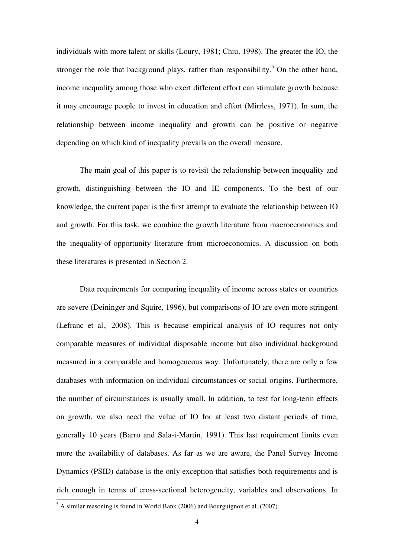individuals with more talent or skills (Loury, 1981; Chiu, 1998). The greater the IO, the stronger the role that background plays, rather than responsibility.<sup>5</sup> On the other hand, income inequality among those who exert different effort can stimulate growth because it may encourage people to invest in education and effort (Mirrless, 1971). In sum, the relationship between income inequality and growth can be positive or negative depending on which kind of inequality prevails on the overall measure.

The main goal of this paper is to revisit the relationship between inequality and growth, distinguishing between the IO and IE components. To the best of our knowledge, the current paper is the first attempt to evaluate the relationship between IO and growth. For this task, we combine the growth literature from macroeconomics and the inequality-of-opportunity literature from microeconomics. A discussion on both these literatures is presented in Section 2.

Data requirements for comparing inequality of income across states or countries are severe (Deininger and Squire, 1996), but comparisons of IO are even more stringent (Lefranc et al.*,* 2008). This is because empirical analysis of IO requires not only comparable measures of individual disposable income but also individual background measured in a comparable and homogeneous way. Unfortunately, there are only a few databases with information on individual circumstances or social origins. Furthermore, the number of circumstances is usually small. In addition, to test for long-term effects on growth, we also need the value of IO for at least two distant periods of time, generally 10 years (Barro and Sala-i-Martin, 1991). This last requirement limits even more the availability of databases. As far as we are aware, the Panel Survey Income Dynamics (PSID) database is the only exception that satisfies both requirements and is rich enough in terms of cross-sectional heterogeneity, variables and observations. In

 5 A similar reasoning is found in World Bank (2006) and Bourguignon et al. (2007).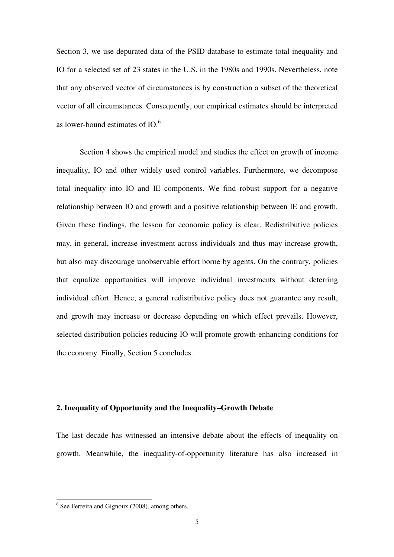Section 3, we use depurated data of the PSID database to estimate total inequality and IO for a selected set of 23 states in the U.S. in the 1980s and 1990s. Nevertheless, note that any observed vector of circumstances is by construction a subset of the theoretical vector of all circumstances. Consequently, our empirical estimates should be interpreted as lower-bound estimates of  $IO^{6}$ .

Section 4 shows the empirical model and studies the effect on growth of income inequality, IO and other widely used control variables. Furthermore, we decompose total inequality into IO and IE components. We find robust support for a negative relationship between IO and growth and a positive relationship between IE and growth. Given these findings, the lesson for economic policy is clear. Redistributive policies may, in general, increase investment across individuals and thus may increase growth, but also may discourage unobservable effort borne by agents. On the contrary, policies that equalize opportunities will improve individual investments without deterring individual effort. Hence, a general redistributive policy does not guarantee any result, and growth may increase or decrease depending on which effect prevails. However, selected distribution policies reducing IO will promote growth-enhancing conditions for the economy. Finally, Section 5 concludes.

## **2. Inequality of Opportunity and the Inequality–Growth Debate**

The last decade has witnessed an intensive debate about the effects of inequality on growth. Meanwhile, the inequality-of-opportunity literature has also increased in

 6 See Ferreira and Gignoux (2008), among others.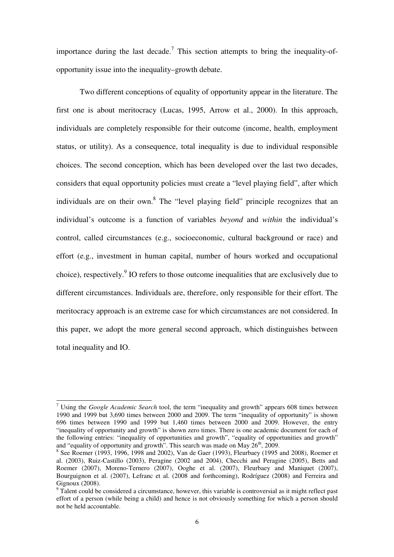importance during the last decade.<sup>7</sup> This section attempts to bring the inequality-ofopportunity issue into the inequality–growth debate.

Two different conceptions of equality of opportunity appear in the literature. The first one is about meritocracy (Lucas, 1995, Arrow et al., 2000). In this approach, individuals are completely responsible for their outcome (income, health, employment status, or utility). As a consequence, total inequality is due to individual responsible choices. The second conception, which has been developed over the last two decades, considers that equal opportunity policies must create a "level playing field", after which individuals are on their own.<sup>8</sup> The "level playing field" principle recognizes that an individual's outcome is a function of variables *beyond* and *within* the individual's control, called circumstances (e.g., socioeconomic, cultural background or race) and effort (e.g., investment in human capital, number of hours worked and occupational choice), respectively.<sup>9</sup> IO refers to those outcome inequalities that are exclusively due to different circumstances. Individuals are, therefore, only responsible for their effort. The meritocracy approach is an extreme case for which circumstances are not considered. In this paper, we adopt the more general second approach, which distinguishes between total inequality and IO.

-

<sup>7</sup> Using the *Google Academic Search* tool, the term "inequality and growth" appears 608 times between 1990 and 1999 but 3,690 times between 2000 and 2009. The term "inequality of opportunity" is shown 696 times between 1990 and 1999 but 1,460 times between 2000 and 2009. However, the entry "inequality of opportunity and growth" is shown zero times. There is one academic document for each of the following entries: "inequality of opportunities and growth", "equality of opportunities and growth" and "equality of opportunity and growth". This search was made on May  $26<sup>th</sup>$ , 2009.

 $8$  See Roemer (1993, 1996, 1998 and 2002), Van de Gaer (1993), Fleurbaey (1995 and 2008), Roemer et al. (2003), Ruiz-Castillo (2003), Peragine (2002 and 2004), Checchi and Peragine (2005), Betts and Roemer (2007), Moreno-Ternero (2007), Ooghe et al. (2007), Fleurbaey and Maniquet (2007), Bourguignon et al. (2007), Lefranc et al. (2008 and forthcoming), Rodríguez (2008) and Ferreira and Gignoux (2008).

<sup>&</sup>lt;sup>9</sup> Talent could be considered a circumstance, however, this variable is controversial as it might reflect past effort of a person (while being a child) and hence is not obviously something for which a person should not be held accountable.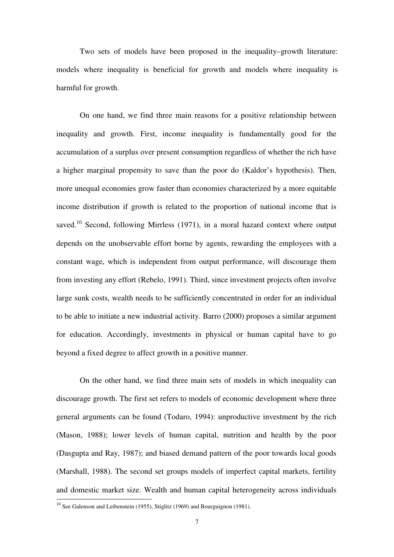Two sets of models have been proposed in the inequality–growth literature: models where inequality is beneficial for growth and models where inequality is harmful for growth.

On one hand, we find three main reasons for a positive relationship between inequality and growth. First, income inequality is fundamentally good for the accumulation of a surplus over present consumption regardless of whether the rich have a higher marginal propensity to save than the poor do (Kaldor's hypothesis). Then, more unequal economies grow faster than economies characterized by a more equitable income distribution if growth is related to the proportion of national income that is saved.<sup>10</sup> Second, following Mirrless (1971), in a moral hazard context where output depends on the unobservable effort borne by agents, rewarding the employees with a constant wage, which is independent from output performance, will discourage them from investing any effort (Rebelo, 1991). Third, since investment projects often involve large sunk costs, wealth needs to be sufficiently concentrated in order for an individual to be able to initiate a new industrial activity. Barro (2000) proposes a similar argument for education. Accordingly, investments in physical or human capital have to go beyond a fixed degree to affect growth in a positive manner.

On the other hand, we find three main sets of models in which inequality can discourage growth. The first set refers to models of economic development where three general arguments can be found (Todaro, 1994): unproductive investment by the rich (Mason, 1988); lower levels of human capital, nutrition and health by the poor (Dasgupta and Ray, 1987); and biased demand pattern of the poor towards local goods (Marshall, 1988). The second set groups models of imperfect capital markets, fertility and domestic market size. Wealth and human capital heterogeneity across individuals

 $10$  See Galenson and Leibenstein (1955), Stiglitz (1969) and Bourguignon (1981).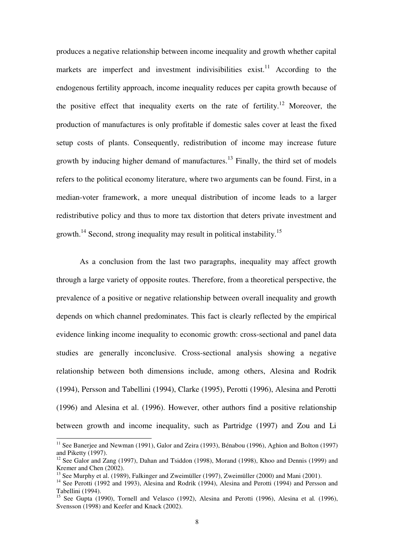produces a negative relationship between income inequality and growth whether capital markets are imperfect and investment indivisibilities exist.<sup>11</sup> According to the endogenous fertility approach, income inequality reduces per capita growth because of the positive effect that inequality exerts on the rate of fertility.<sup>12</sup> Moreover, the production of manufactures is only profitable if domestic sales cover at least the fixed setup costs of plants. Consequently, redistribution of income may increase future growth by inducing higher demand of manufactures.<sup>13</sup> Finally, the third set of models refers to the political economy literature, where two arguments can be found. First, in a median-voter framework, a more unequal distribution of income leads to a larger redistributive policy and thus to more tax distortion that deters private investment and growth.<sup>14</sup> Second, strong inequality may result in political instability.<sup>15</sup>

As a conclusion from the last two paragraphs, inequality may affect growth through a large variety of opposite routes. Therefore, from a theoretical perspective, the prevalence of a positive or negative relationship between overall inequality and growth depends on which channel predominates. This fact is clearly reflected by the empirical evidence linking income inequality to economic growth: cross-sectional and panel data studies are generally inconclusive. Cross-sectional analysis showing a negative relationship between both dimensions include, among others, Alesina and Rodrik (1994), Persson and Tabellini (1994), Clarke (1995), Perotti (1996), Alesina and Perotti (1996) and Alesina et al. (1996). However, other authors find a positive relationship between growth and income inequality, such as Partridge (1997) and Zou and Li

-

<sup>&</sup>lt;sup>11</sup> See Banerjee and Newman (1991), Galor and Zeira (1993), Bénabou (1996), Aghion and Bolton (1997) and Piketty (1997).

<sup>&</sup>lt;sup>12</sup> See Galor and Zang (1997), Dahan and Tsiddon (1998), Morand (1998), Khoo and Dennis (1999) and Kremer and Chen (2002).

<sup>&</sup>lt;sup>13</sup> See Murphy et al. (1989), Falkinger and Zweimüller (1997), Zweimüller (2000) and Mani (2001).

<sup>&</sup>lt;sup>14</sup> See Perotti (1992 and 1993), Alesina and Rodrik (1994), Alesina and Perotti (1994) and Persson and Tabellini (1994).

<sup>15</sup> See Gupta (1990), Tornell and Velasco (1992), Alesina and Perotti (1996), Alesina et al*.* (1996), Svensson (1998) and Keefer and Knack (2002).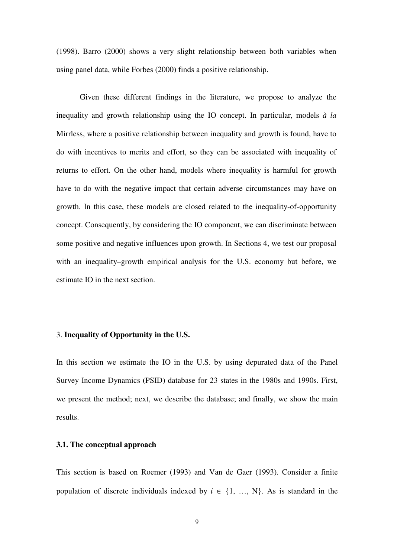(1998). Barro (2000) shows a very slight relationship between both variables when using panel data, while Forbes (2000) finds a positive relationship.

Given these different findings in the literature, we propose to analyze the inequality and growth relationship using the IO concept. In particular, models *à la* Mirrless, where a positive relationship between inequality and growth is found, have to do with incentives to merits and effort, so they can be associated with inequality of returns to effort. On the other hand, models where inequality is harmful for growth have to do with the negative impact that certain adverse circumstances may have on growth. In this case, these models are closed related to the inequality-of-opportunity concept. Consequently, by considering the IO component, we can discriminate between some positive and negative influences upon growth. In Sections 4, we test our proposal with an inequality–growth empirical analysis for the U.S. economy but before, we estimate IO in the next section.

#### 3. **Inequality of Opportunity in the U.S.**

In this section we estimate the IO in the U.S. by using depurated data of the Panel Survey Income Dynamics (PSID) database for 23 states in the 1980s and 1990s. First, we present the method; next, we describe the database; and finally, we show the main results.

## **3.1. The conceptual approach**

This section is based on Roemer (1993) and Van de Gaer (1993). Consider a finite population of discrete individuals indexed by  $i \in \{1, ..., N\}$ . As is standard in the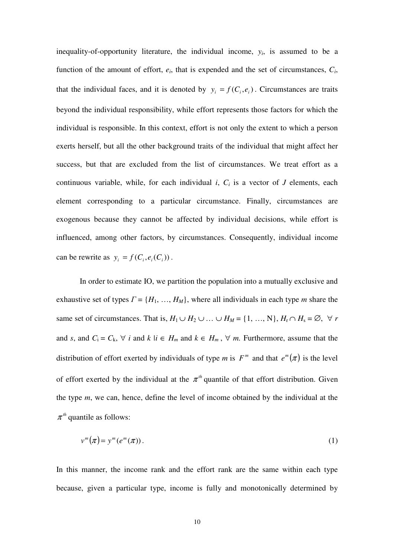inequality-of-opportunity literature, the individual income,  $y_i$ , is assumed to be a function of the amount of effort,  $e_i$ , that is expended and the set of circumstances,  $C_i$ , that the individual faces, and it is denoted by  $y_i = f(C_i, e_i)$ . Circumstances are traits beyond the individual responsibility, while effort represents those factors for which the individual is responsible. In this context, effort is not only the extent to which a person exerts herself, but all the other background traits of the individual that might affect her success, but that are excluded from the list of circumstances. We treat effort as a continuous variable, while, for each individual  $i$ ,  $C_i$  is a vector of  $J$  elements, each element corresponding to a particular circumstance. Finally, circumstances are exogenous because they cannot be affected by individual decisions, while effort is influenced, among other factors, by circumstances. Consequently, individual income can be rewrite as  $y_i = f(C_i, e_i(C_i))$ .

In order to estimate IO, we partition the population into a mutually exclusive and exhaustive set of types  $\Gamma = \{H_1, ..., H_M\}$ , where all individuals in each type *m* share the same set of circumstances. That is,  $H_1 \cup H_2 \cup ... \cup H_M = \{1, ..., N\}, H_r \cap H_s = \emptyset, \forall r$ and *s*, and  $C_i = C_k$ ,  $\forall$  *i* and  $k \mid i \in H_m$  and  $k \in H_m$ ,  $\forall$  *m*. Furthermore, assume that the distribution of effort exerted by individuals of type *m* is  $F^m$  and that  $e^m(\pi)$  is the level of effort exerted by the individual at the  $\pi^{th}$  quantile of that effort distribution. Given the type *m*, we can, hence, define the level of income obtained by the individual at the  $\pi^{th}$  quantile as follows:

$$
v^m(\pi) = y^m(e^m(\pi)).
$$
\n<sup>(1)</sup>

In this manner, the income rank and the effort rank are the same within each type because, given a particular type, income is fully and monotonically determined by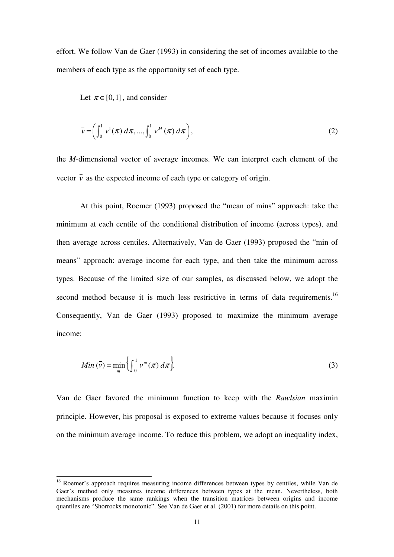effort. We follow Van de Gaer (1993) in considering the set of incomes available to the members of each type as the opportunity set of each type.

Let  $\pi \in [0,1]$ , and consider

j

$$
\bar{v} = \left( \int_0^1 v^1(\pi) \, d\pi, \dots, \int_0^1 v^M(\pi) \, d\pi \right), \tag{2}
$$

the *M*-dimensional vector of average incomes. We can interpret each element of the vector  $\bar{v}$  as the expected income of each type or category of origin.

At this point, Roemer (1993) proposed the "mean of mins" approach: take the minimum at each centile of the conditional distribution of income (across types), and then average across centiles. Alternatively, Van de Gaer (1993) proposed the "min of means" approach: average income for each type, and then take the minimum across types. Because of the limited size of our samples, as discussed below, we adopt the second method because it is much less restrictive in terms of data requirements.<sup>16</sup> Consequently, Van de Gaer (1993) proposed to maximize the minimum average income:

$$
Min\left(\bar{v}\right) = \min_{m} \left\{ \int_0^1 v^m(\pi) \, d\pi \right\}.
$$
\n<sup>(3)</sup>

Van de Gaer favored the minimum function to keep with the *Rawlsian* maximin principle. However, his proposal is exposed to extreme values because it focuses only on the minimum average income. To reduce this problem, we adopt an inequality index,

<sup>&</sup>lt;sup>16</sup> Roemer's approach requires measuring income differences between types by centiles, while Van de Gaer's method only measures income differences between types at the mean. Nevertheless, both mechanisms produce the same rankings when the transition matrices between origins and income quantiles are "Shorrocks monotonic". See Van de Gaer et al. (2001) for more details on this point.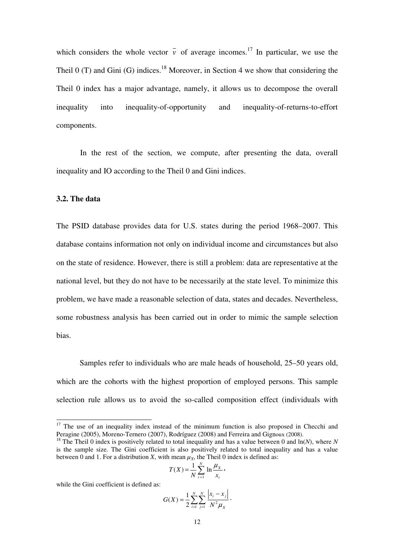which considers the whole vector  $\bar{v}$  of average incomes.<sup>17</sup> In particular, we use the Theil 0 (T) and Gini (G) indices.<sup>18</sup> Moreover, in Section 4 we show that considering the Theil 0 index has a major advantage, namely, it allows us to decompose the overall inequality into inequality-of-opportunity and inequality-of-returns-to-effort components.

In the rest of the section, we compute, after presenting the data, overall inequality and IO according to the Theil 0 and Gini indices.

#### **3.2. The data**

The PSID database provides data for U.S. states during the period 1968–2007. This database contains information not only on individual income and circumstances but also on the state of residence. However, there is still a problem: data are representative at the national level, but they do not have to be necessarily at the state level. To minimize this problem, we have made a reasonable selection of data, states and decades. Nevertheless, some robustness analysis has been carried out in order to mimic the sample selection bias.

Samples refer to individuals who are male heads of household, 25–50 years old, which are the cohorts with the highest proportion of employed persons. This sample selection rule allows us to avoid the so-called composition effect (individuals with

$$
T(X) = \frac{1}{N} \sum_{i=1}^{N} \ln \frac{\mu_X}{x_i},
$$

while the Gini coefficient is defined as:

$$
G(X) = \frac{1}{2} \sum_{i=1}^{N} \sum_{j=1}^{N} \frac{|x_i - x_j|}{N^2 \mu_X}.
$$

 $17$  The use of an inequality index instead of the minimum function is also proposed in Checchi and Peragine (2005), Moreno-Ternero (2007), Rodríguez (2008) and Ferreira and Gignoux (2008).

<sup>&</sup>lt;sup>18</sup> The Theil 0 index is positively related to total inequality and has a value between 0 and ln(*N*), where *N* is the sample size. The Gini coefficient is also positively related to total inequality and has a value between 0 and 1. For a distribution *X*, with mean  $\mu_X$ , the Theil 0 index is defined as: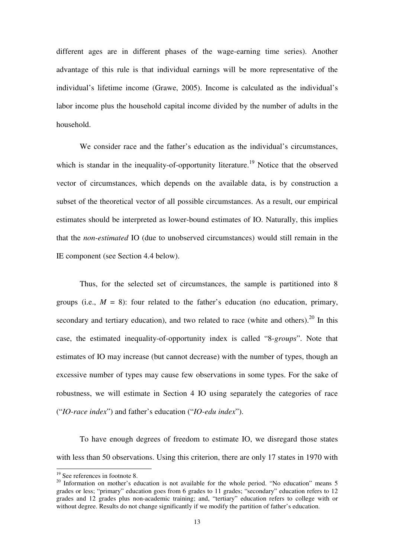different ages are in different phases of the wage-earning time series). Another advantage of this rule is that individual earnings will be more representative of the individual's lifetime income (Grawe, 2005). Income is calculated as the individual's labor income plus the household capital income divided by the number of adults in the household.

We consider race and the father's education as the individual's circumstances, which is standar in the inequality-of-opportunity literature.<sup>19</sup> Notice that the observed vector of circumstances, which depends on the available data, is by construction a subset of the theoretical vector of all possible circumstances. As a result, our empirical estimates should be interpreted as lower-bound estimates of IO. Naturally, this implies that the *non-estimated* IO (due to unobserved circumstances) would still remain in the IE component (see Section 4.4 below).

Thus, for the selected set of circumstances, the sample is partitioned into 8 groups (i.e.,  $M = 8$ ): four related to the father's education (no education, primary, secondary and tertiary education), and two related to race (white and others).<sup>20</sup> In this case, the estimated inequality-of-opportunity index is called "8-*groups*". Note that estimates of IO may increase (but cannot decrease) with the number of types, though an excessive number of types may cause few observations in some types. For the sake of robustness, we will estimate in Section 4 IO using separately the categories of race ("*IO-race index*") and father's education ("*IO-edu index*").

To have enough degrees of freedom to estimate IO, we disregard those states with less than 50 observations. Using this criterion, there are only 17 states in 1970 with

<sup>&</sup>lt;sup>19</sup> See references in footnote 8.

 $20$  Information on mother's education is not available for the whole period. "No education" means 5 grades or less; "primary" education goes from 6 grades to 11 grades; "secondary" education refers to 12 grades and 12 grades plus non-academic training; and, "tertiary" education refers to college with or without degree. Results do not change significantly if we modify the partition of father's education.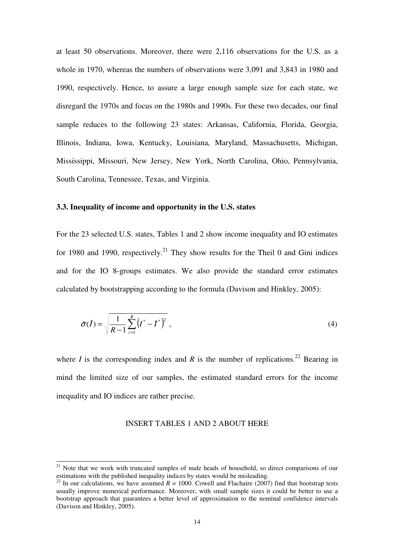at least 50 observations. Moreover, there were 2,116 observations for the U.S. as a whole in 1970, whereas the numbers of observations were 3,091 and 3,843 in 1980 and 1990, respectively. Hence, to assure a large enough sample size for each state, we disregard the 1970s and focus on the 1980s and 1990s. For these two decades, our final sample reduces to the following 23 states: Arkansas, California, Florida, Georgia, Illinois, Indiana, Iowa, Kentucky, Louisiana, Maryland, Massachusetts, Michigan, Mississippi, Missouri, New Jersey, New York, North Carolina, Ohio, Pennsylvania, South Carolina, Tennessee, Texas, and Virginia.

## **3.3. Inequality of income and opportunity in the U.S. states**

For the 23 selected U.S. states, Tables 1 and 2 show income inequality and IO estimates for 1980 and 1990, respectively.<sup>21</sup> They show results for the Theil 0 and Gini indices and for the IO 8-groups estimates. We also provide the standard error estimates calculated by bootstrapping according to the formula (Davison and Hinkley, 2005):

$$
\sigma(\hat{I}) = \sqrt{\frac{1}{R-1} \sum_{r=1}^{R} (I^* - I^*)^2} \tag{4}
$$

where *I* is the corresponding index and *R* is the number of replications.<sup>22</sup> Bearing in mind the limited size of our samples, the estimated standard errors for the income inequality and IO indices are rather precise.

# INSERT TABLES 1 AND 2 ABOUT HERE

<sup>&</sup>lt;sup>21</sup> Note that we work with truncated samples of male heads of household, so direct comparisons of our estimations with the published inequality indices by states would be misleading.

<sup>&</sup>lt;sup>22</sup> In our calculations, we have assumed  $R = 1000$ . Cowell and Flachaire (2007) find that bootstrap tests usually improve numerical performance. Moreover, with small sample sizes it could be better to use a bootstrap approach that guarantees a better level of approximation to the nominal confidence intervals (Davison and Hinkley, 2005).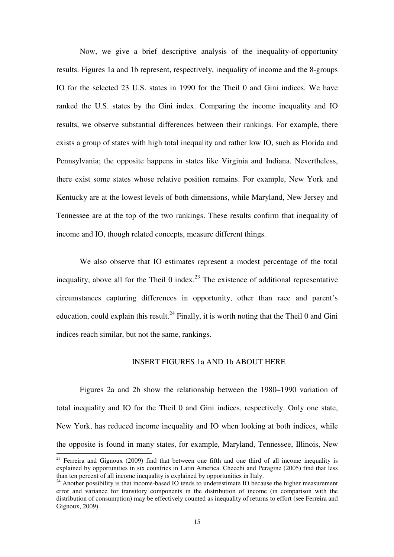Now, we give a brief descriptive analysis of the inequality-of-opportunity results. Figures 1a and 1b represent, respectively, inequality of income and the 8-groups IO for the selected 23 U.S. states in 1990 for the Theil 0 and Gini indices. We have ranked the U.S. states by the Gini index. Comparing the income inequality and IO results, we observe substantial differences between their rankings. For example, there exists a group of states with high total inequality and rather low IO, such as Florida and Pennsylvania; the opposite happens in states like Virginia and Indiana. Nevertheless, there exist some states whose relative position remains. For example, New York and Kentucky are at the lowest levels of both dimensions, while Maryland, New Jersey and Tennessee are at the top of the two rankings. These results confirm that inequality of income and IO, though related concepts, measure different things.

We also observe that IO estimates represent a modest percentage of the total inequality, above all for the Theil 0 index.<sup>23</sup> The existence of additional representative circumstances capturing differences in opportunity, other than race and parent's education, could explain this result.<sup>24</sup> Finally, it is worth noting that the Theil 0 and Gini indices reach similar, but not the same, rankings.

#### INSERT FIGURES 1a AND 1b ABOUT HERE

Figures 2a and 2b show the relationship between the 1980–1990 variation of total inequality and IO for the Theil 0 and Gini indices, respectively. Only one state, New York, has reduced income inequality and IO when looking at both indices, while the opposite is found in many states, for example, Maryland, Tennessee, Illinois, New

 $23$  Ferreira and Gignoux (2009) find that between one fifth and one third of all income inequality is explained by opportunities in six countries in Latin America. Checchi and Peragine (2005) find that less than ten percent of all income inequality is explained by opportunities in Italy.

 $^{24}$  Another possibility is that income-based IO tends to underestimate IO because the higher measurement error and variance for transitory components in the distribution of income (in comparison with the distribution of consumption) may be effectively counted as inequality of returns to effort (see Ferreira and Gignoux, 2009).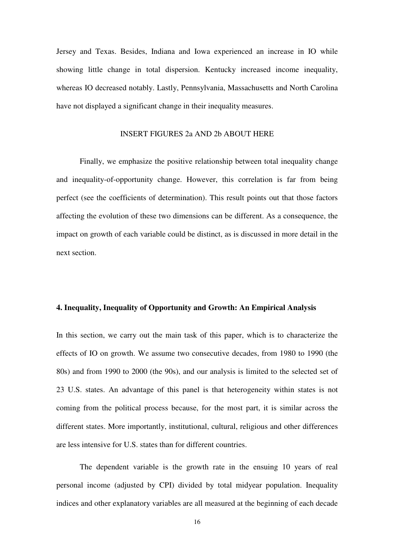Jersey and Texas. Besides, Indiana and Iowa experienced an increase in IO while showing little change in total dispersion. Kentucky increased income inequality, whereas IO decreased notably. Lastly, Pennsylvania, Massachusetts and North Carolina have not displayed a significant change in their inequality measures.

# INSERT FIGURES 2a AND 2b ABOUT HERE

Finally, we emphasize the positive relationship between total inequality change and inequality-of-opportunity change. However, this correlation is far from being perfect (see the coefficients of determination). This result points out that those factors affecting the evolution of these two dimensions can be different. As a consequence, the impact on growth of each variable could be distinct, as is discussed in more detail in the next section.

#### **4. Inequality, Inequality of Opportunity and Growth: An Empirical Analysis**

In this section, we carry out the main task of this paper, which is to characterize the effects of IO on growth. We assume two consecutive decades, from 1980 to 1990 (the 80s) and from 1990 to 2000 (the 90s), and our analysis is limited to the selected set of 23 U.S. states. An advantage of this panel is that heterogeneity within states is not coming from the political process because, for the most part, it is similar across the different states. More importantly, institutional, cultural, religious and other differences are less intensive for U.S. states than for different countries.

The dependent variable is the growth rate in the ensuing 10 years of real personal income (adjusted by CPI) divided by total midyear population. Inequality indices and other explanatory variables are all measured at the beginning of each decade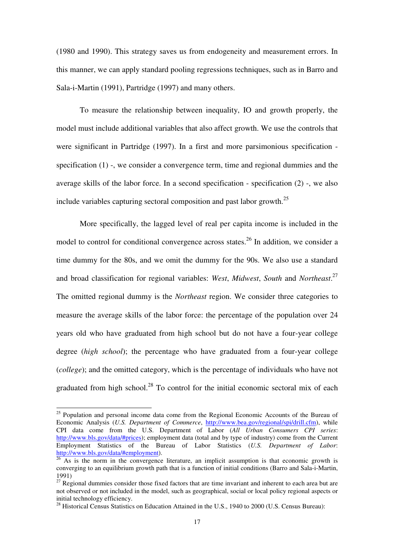(1980 and 1990). This strategy saves us from endogeneity and measurement errors. In this manner, we can apply standard pooling regressions techniques, such as in Barro and Sala-i-Martin (1991), Partridge (1997) and many others.

To measure the relationship between inequality, IO and growth properly, the model must include additional variables that also affect growth. We use the controls that were significant in Partridge (1997). In a first and more parsimonious specification specification (1) -, we consider a convergence term, time and regional dummies and the average skills of the labor force. In a second specification - specification (2) -, we also include variables capturing sectoral composition and past labor growth. $^{25}$ 

More specifically, the lagged level of real per capita income is included in the model to control for conditional convergence across states.<sup>26</sup> In addition, we consider a time dummy for the 80s, and we omit the dummy for the 90s. We also use a standard and broad classification for regional variables: *West*, *Midwest*, *South* and *Northeast*. 27 The omitted regional dummy is the *Northeast* region. We consider three categories to measure the average skills of the labor force: the percentage of the population over 24 years old who have graduated from high school but do not have a four-year college degree (*high school*); the percentage who have graduated from a four-year college (*college*); and the omitted category, which is the percentage of individuals who have not graduated from high school.<sup>28</sup> To control for the initial economic sectoral mix of each

<sup>&</sup>lt;sup>25</sup> Population and personal income data come from the Regional Economic Accounts of the Bureau of Economic Analysis (*U.S. Department of Commerce*, http://www.bea.gov/regional/spi/drill.cfm), while CPI data come from the U.S. Department of Labor (*All Urban Consumers CPI series*: http://www.bls.gov/data/#prices); employment data (total and by type of industry) come from the Current Employment Statistics of the Bureau of Labor Statistics (*U.S. Department of Labor*: http://www.bls.gov/data/#employment).

<sup>&</sup>lt;sup>26</sup> As is the norm in the convergence literature, an implicit assumption is that economic growth is converging to an equilibrium growth path that is a function of initial conditions (Barro and Sala-i-Martin, 1991)

 $27$  Regional dummies consider those fixed factors that are time invariant and inherent to each area but are not observed or not included in the model, such as geographical, social or local policy regional aspects or initial technology efficiency.

<sup>&</sup>lt;sup>28</sup> Historical Census Statistics on Education Attained in the U.S., 1940 to 2000 (U.S. Census Bureau):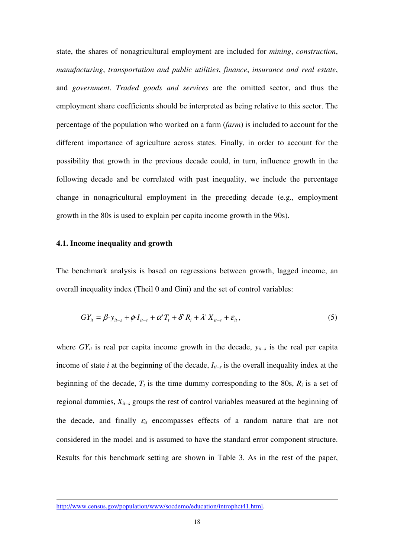state, the shares of nonagricultural employment are included for *mining*, *construction*, *manufacturing*, *transportation and public utilities*, *finance*, *insurance and real estate*, and *government*. *Traded goods and services* are the omitted sector, and thus the employment share coefficients should be interpreted as being relative to this sector. The percentage of the population who worked on a farm (*farm*) is included to account for the different importance of agriculture across states. Finally, in order to account for the possibility that growth in the previous decade could, in turn, influence growth in the following decade and be correlated with past inequality, we include the percentage change in nonagricultural employment in the preceding decade (e.g., employment growth in the 80s is used to explain per capita income growth in the 90s).

# **4.1. Income inequality and growth**

The benchmark analysis is based on regressions between growth, lagged income, an overall inequality index (Theil 0 and Gini) and the set of control variables:

$$
GY_{it} = \beta \cdot y_{it-s} + \phi \cdot I_{it-s} + \alpha' T_t + \delta' R_i + \lambda' X_{it-s} + \varepsilon_{it},
$$
\n
$$
\tag{5}
$$

where  $GY_{it}$  is real per capita income growth in the decade,  $y_{it-s}$  is the real per capita income of state *i* at the beginning of the decade, *Iit–s* is the overall inequality index at the beginning of the decade,  $T_t$  is the time dummy corresponding to the 80s,  $R_i$  is a set of regional dummies, *Xit–s* groups the rest of control variables measured at the beginning of the decade, and finally  $\varepsilon$ <sub>*it*</sub> encompasses effects of a random nature that are not considered in the model and is assumed to have the standard error component structure. Results for this benchmark setting are shown in Table 3. As in the rest of the paper,

-

http://www.census.gov/population/www/socdemo/education/introphct41.html.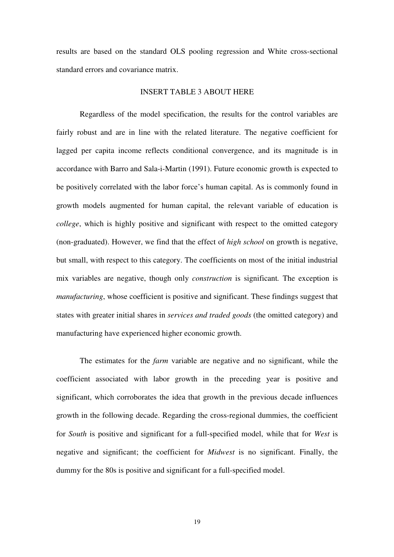results are based on the standard OLS pooling regression and White cross-sectional standard errors and covariance matrix.

# INSERT TABLE 3 ABOUT HERE

Regardless of the model specification, the results for the control variables are fairly robust and are in line with the related literature. The negative coefficient for lagged per capita income reflects conditional convergence, and its magnitude is in accordance with Barro and Sala-i-Martin (1991). Future economic growth is expected to be positively correlated with the labor force's human capital. As is commonly found in growth models augmented for human capital, the relevant variable of education is *college*, which is highly positive and significant with respect to the omitted category (non-graduated). However, we find that the effect of *high school* on growth is negative, but small, with respect to this category. The coefficients on most of the initial industrial mix variables are negative, though only *construction* is significant*.* The exception is *manufacturing*, whose coefficient is positive and significant. These findings suggest that states with greater initial shares in *services and traded goods* (the omitted category) and manufacturing have experienced higher economic growth.

The estimates for the *farm* variable are negative and no significant, while the coefficient associated with labor growth in the preceding year is positive and significant, which corroborates the idea that growth in the previous decade influences growth in the following decade. Regarding the cross-regional dummies, the coefficient for *South* is positive and significant for a full-specified model, while that for *West* is negative and significant; the coefficient for *Midwest* is no significant. Finally, the dummy for the 80s is positive and significant for a full-specified model.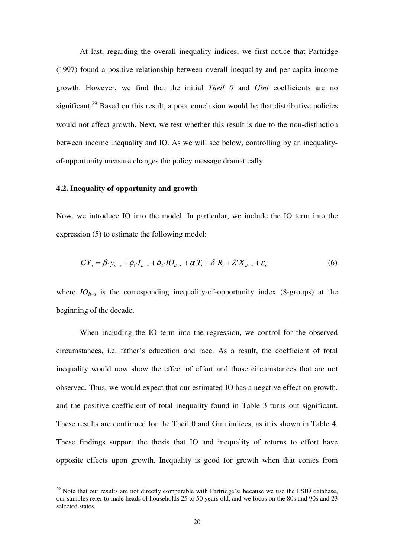At last, regarding the overall inequality indices, we first notice that Partridge (1997) found a positive relationship between overall inequality and per capita income growth. However, we find that the initial *Theil 0* and *Gini* coefficients are no significant.<sup>29</sup> Based on this result, a poor conclusion would be that distributive policies would not affect growth. Next, we test whether this result is due to the non-distinction between income inequality and IO. As we will see below, controlling by an inequalityof-opportunity measure changes the policy message dramatically.

#### **4.2. Inequality of opportunity and growth**

-

Now, we introduce IO into the model. In particular, we include the IO term into the expression (5) to estimate the following model:

$$
GY_{it} = \beta \cdot y_{it-s} + \phi_1 \cdot I_{it-s} + \phi_2 \cdot IO_{it-s} + \alpha' T_t + \delta' R_i + \lambda' X_{it-s} + \varepsilon_{it}
$$
\n
$$
\tag{6}
$$

where  $IO_{it-s}$  is the corresponding inequality-of-opportunity index (8-groups) at the beginning of the decade.

When including the IO term into the regression, we control for the observed circumstances, i.e. father's education and race. As a result, the coefficient of total inequality would now show the effect of effort and those circumstances that are not observed. Thus, we would expect that our estimated IO has a negative effect on growth, and the positive coefficient of total inequality found in Table 3 turns out significant. These results are confirmed for the Theil 0 and Gini indices, as it is shown in Table 4. These findings support the thesis that IO and inequality of returns to effort have opposite effects upon growth. Inequality is good for growth when that comes from

 $^{29}$  Note that our results are not directly comparable with Partridge's; because we use the PSID database, our samples refer to male heads of households 25 to 50 years old, and we focus on the 80s and 90s and 23 selected states.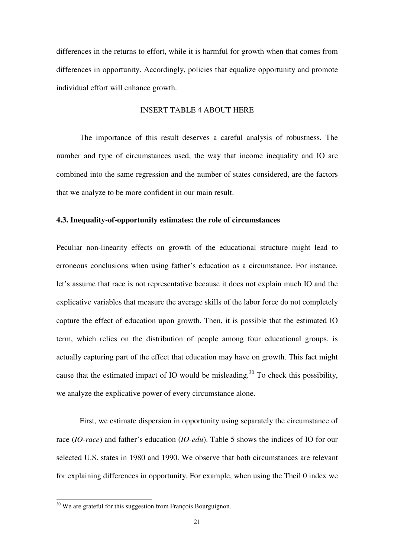differences in the returns to effort, while it is harmful for growth when that comes from differences in opportunity. Accordingly, policies that equalize opportunity and promote individual effort will enhance growth.

#### INSERT TABLE 4 ABOUT HERE

The importance of this result deserves a careful analysis of robustness. The number and type of circumstances used, the way that income inequality and IO are combined into the same regression and the number of states considered, are the factors that we analyze to be more confident in our main result.

#### **4.3. Inequality-of-opportunity estimates: the role of circumstances**

Peculiar non-linearity effects on growth of the educational structure might lead to erroneous conclusions when using father's education as a circumstance. For instance, let's assume that race is not representative because it does not explain much IO and the explicative variables that measure the average skills of the labor force do not completely capture the effect of education upon growth. Then, it is possible that the estimated IO term, which relies on the distribution of people among four educational groups, is actually capturing part of the effect that education may have on growth. This fact might cause that the estimated impact of IO would be misleading.<sup>30</sup> To check this possibility, we analyze the explicative power of every circumstance alone.

First, we estimate dispersion in opportunity using separately the circumstance of race (*IO-race*) and father's education (*IO-edu*). Table 5 shows the indices of IO for our selected U.S. states in 1980 and 1990. We observe that both circumstances are relevant for explaining differences in opportunity. For example, when using the Theil 0 index we

 $30$  We are grateful for this suggestion from François Bourguignon.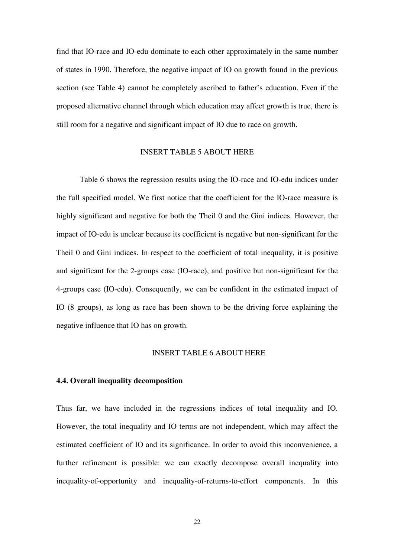find that IO-race and IO-edu dominate to each other approximately in the same number of states in 1990. Therefore, the negative impact of IO on growth found in the previous section (see Table 4) cannot be completely ascribed to father's education. Even if the proposed alternative channel through which education may affect growth is true, there is still room for a negative and significant impact of IO due to race on growth.

# INSERT TABLE 5 ABOUT HERE

Table 6 shows the regression results using the IO-race and IO-edu indices under the full specified model. We first notice that the coefficient for the IO-race measure is highly significant and negative for both the Theil 0 and the Gini indices. However, the impact of IO-edu is unclear because its coefficient is negative but non-significant for the Theil 0 and Gini indices. In respect to the coefficient of total inequality, it is positive and significant for the 2-groups case (IO-race), and positive but non-significant for the 4-groups case (IO-edu). Consequently, we can be confident in the estimated impact of IO (8 groups), as long as race has been shown to be the driving force explaining the negative influence that IO has on growth.

## INSERT TABLE 6 ABOUT HERE

## **4.4. Overall inequality decomposition**

Thus far, we have included in the regressions indices of total inequality and IO. However, the total inequality and IO terms are not independent, which may affect the estimated coefficient of IO and its significance. In order to avoid this inconvenience, a further refinement is possible: we can exactly decompose overall inequality into inequality-of-opportunity and inequality-of-returns-to-effort components. In this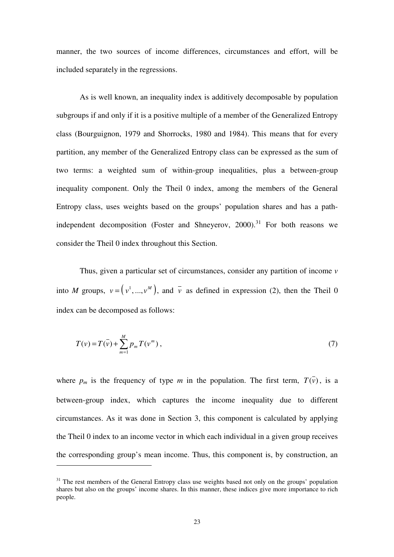manner, the two sources of income differences, circumstances and effort, will be included separately in the regressions.

As is well known, an inequality index is additively decomposable by population subgroups if and only if it is a positive multiple of a member of the Generalized Entropy class (Bourguignon, 1979 and Shorrocks, 1980 and 1984). This means that for every partition, any member of the Generalized Entropy class can be expressed as the sum of two terms: a weighted sum of within-group inequalities, plus a between-group inequality component. Only the Theil 0 index, among the members of the General Entropy class, uses weights based on the groups' population shares and has a pathindependent decomposition (Foster and Shneyerov,  $2000$ ).<sup>31</sup> For both reasons we consider the Theil 0 index throughout this Section.

Thus, given a particular set of circumstances, consider any partition of income *v* into *M* groups,  $v = (v^1, ..., v^M)$ , and  $\overline{v}$  as defined in expression (2), then the Theil 0 index can be decomposed as follows:

$$
T(v) = T(\bar{v}) + \sum_{m=1}^{M} p_m T(v^m) , \qquad (7)
$$

where  $p_m$  is the frequency of type *m* in the population. The first term,  $T(\bar{v})$ , is a between-group index, which captures the income inequality due to different circumstances. As it was done in Section 3, this component is calculated by applying the Theil 0 index to an income vector in which each individual in a given group receives the corresponding group's mean income. Thus, this component is, by construction, an

 $31$  The rest members of the General Entropy class use weights based not only on the groups' population shares but also on the groups' income shares. In this manner, these indices give more importance to rich people.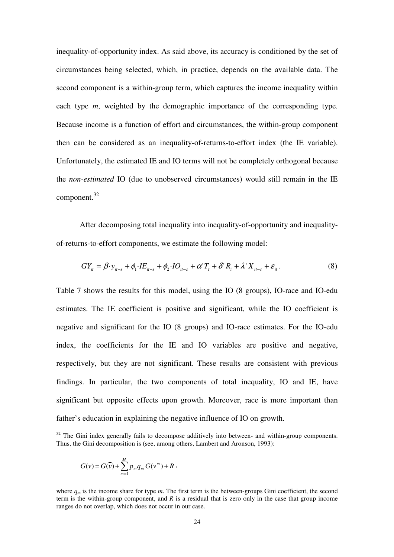inequality-of-opportunity index. As said above, its accuracy is conditioned by the set of circumstances being selected, which, in practice, depends on the available data. The second component is a within-group term, which captures the income inequality within each type *m*, weighted by the demographic importance of the corresponding type. Because income is a function of effort and circumstances, the within-group component then can be considered as an inequality-of-returns-to-effort index (the IE variable). Unfortunately, the estimated IE and IO terms will not be completely orthogonal because the *non-estimated* IO (due to unobserved circumstances) would still remain in the IE component.<sup>32</sup>

After decomposing total inequality into inequality-of-opportunity and inequalityof-returns-to-effort components, we estimate the following model:

$$
GY_{it} = \beta \cdot y_{it-s} + \phi_1 \cdot IE_{it-s} + \phi_2 \cdot IO_{it-s} + \alpha' T_t + \delta' R_i + \lambda' X_{it-s} + \varepsilon_{it}.
$$
 (8)

Table 7 shows the results for this model, using the IO (8 groups), IO-race and IO-edu estimates. The IE coefficient is positive and significant, while the IO coefficient is negative and significant for the IO (8 groups) and IO-race estimates. For the IO-edu index, the coefficients for the IE and IO variables are positive and negative, respectively, but they are not significant. These results are consistent with previous findings. In particular, the two components of total inequality, IO and IE, have significant but opposite effects upon growth. Moreover, race is more important than father's education in explaining the negative influence of IO on growth.

$$
G(v) = G(\bar{v}) + \sum_{m=1}^{M} p_m q_m G(v^m) + R,
$$

-

 $32$  The Gini index generally fails to decompose additively into between- and within-group components. Thus, the Gini decomposition is (see, among others, Lambert and Aronson, 1993):

where  $q_m$  is the income share for type *m*. The first term is the between-groups Gini coefficient, the second term is the within-group component, and *R* is a residual that is zero only in the case that group income ranges do not overlap, which does not occur in our case.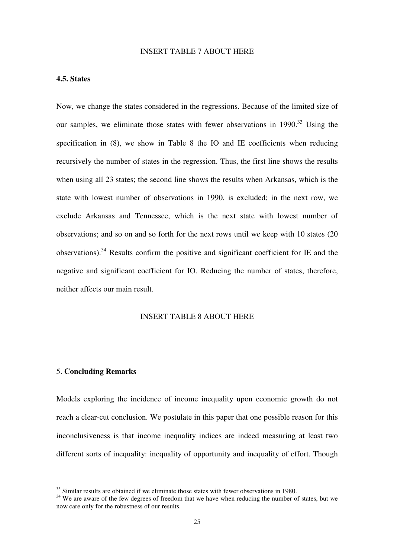# INSERT TABLE 7 ABOUT HERE

# **4.5. States**

Now, we change the states considered in the regressions. Because of the limited size of our samples, we eliminate those states with fewer observations in 1990.<sup>33</sup> Using the specification in (8), we show in Table 8 the IO and IE coefficients when reducing recursively the number of states in the regression. Thus, the first line shows the results when using all 23 states; the second line shows the results when Arkansas, which is the state with lowest number of observations in 1990, is excluded; in the next row, we exclude Arkansas and Tennessee, which is the next state with lowest number of observations; and so on and so forth for the next rows until we keep with 10 states (20 observations).<sup>34</sup> Results confirm the positive and significant coefficient for IE and the negative and significant coefficient for IO. Reducing the number of states, therefore, neither affects our main result.

## INSERT TABLE 8 ABOUT HERE

#### 5. **Concluding Remarks**

-

Models exploring the incidence of income inequality upon economic growth do not reach a clear-cut conclusion. We postulate in this paper that one possible reason for this inconclusiveness is that income inequality indices are indeed measuring at least two different sorts of inequality: inequality of opportunity and inequality of effort. Though

 $33$  Similar results are obtained if we eliminate those states with fewer observations in 1980.

<sup>&</sup>lt;sup>34</sup> We are aware of the few degrees of freedom that we have when reducing the number of states, but we now care only for the robustness of our results.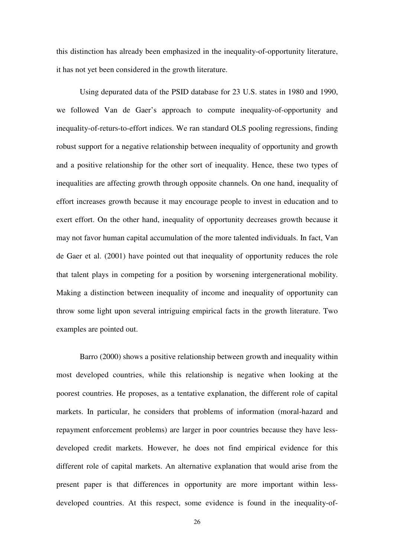this distinction has already been emphasized in the inequality-of-opportunity literature, it has not yet been considered in the growth literature.

Using depurated data of the PSID database for 23 U.S. states in 1980 and 1990, we followed Van de Gaer's approach to compute inequality-of-opportunity and inequality-of-returs-to-effort indices. We ran standard OLS pooling regressions, finding robust support for a negative relationship between inequality of opportunity and growth and a positive relationship for the other sort of inequality. Hence, these two types of inequalities are affecting growth through opposite channels. On one hand, inequality of effort increases growth because it may encourage people to invest in education and to exert effort. On the other hand, inequality of opportunity decreases growth because it may not favor human capital accumulation of the more talented individuals. In fact, Van de Gaer et al. (2001) have pointed out that inequality of opportunity reduces the role that talent plays in competing for a position by worsening intergenerational mobility. Making a distinction between inequality of income and inequality of opportunity can throw some light upon several intriguing empirical facts in the growth literature. Two examples are pointed out.

Barro (2000) shows a positive relationship between growth and inequality within most developed countries, while this relationship is negative when looking at the poorest countries. He proposes, as a tentative explanation, the different role of capital markets. In particular, he considers that problems of information (moral-hazard and repayment enforcement problems) are larger in poor countries because they have lessdeveloped credit markets. However, he does not find empirical evidence for this different role of capital markets. An alternative explanation that would arise from the present paper is that differences in opportunity are more important within lessdeveloped countries. At this respect, some evidence is found in the inequality-of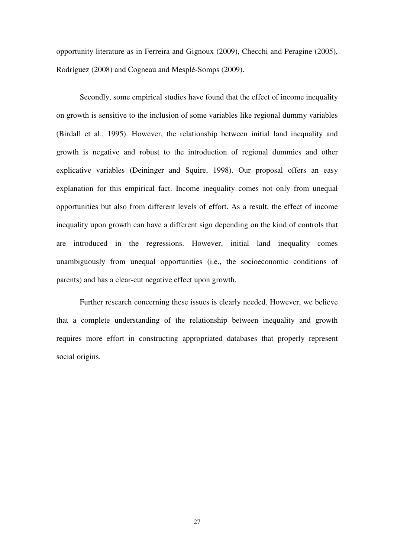opportunity literature as in Ferreira and Gignoux (2009), Checchi and Peragine (2005), Rodríguez (2008) and Cogneau and Mesplé-Somps (2009).

Secondly, some empirical studies have found that the effect of income inequality on growth is sensitive to the inclusion of some variables like regional dummy variables (Birdall et al., 1995). However, the relationship between initial land inequality and growth is negative and robust to the introduction of regional dummies and other explicative variables (Deininger and Squire, 1998). Our proposal offers an easy explanation for this empirical fact. Income inequality comes not only from unequal opportunities but also from different levels of effort. As a result, the effect of income inequality upon growth can have a different sign depending on the kind of controls that are introduced in the regressions. However, initial land inequality comes unambiguously from unequal opportunities (i.e., the socioeconomic conditions of parents) and has a clear-cut negative effect upon growth.

Further research concerning these issues is clearly needed. However, we believe that a complete understanding of the relationship between inequality and growth requires more effort in constructing appropriated databases that properly represent social origins.

27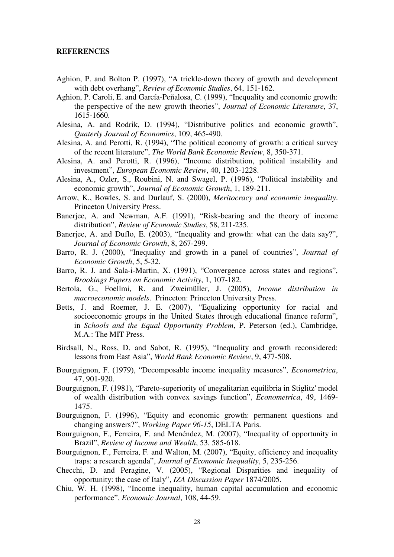#### **REFERENCES**

- Aghion, P. and Bolton P. (1997), "A trickle-down theory of growth and development with debt overhang", *Review of Economic Studies*, 64, 151-162.
- Aghion, P. Caroli, E. and García-Peñalosa, C. (1999), "Inequality and economic growth: the perspective of the new growth theories", *Journal of Economic Literature*, 37, 1615-1660.
- Alesina, A. and Rodrik, D. (1994), "Distributive politics and economic growth", *Quaterly Journal of Economics*, 109, 465-490.
- Alesina, A. and Perotti, R. (1994), "The political economy of growth: a critical survey of the recent literature", *The World Bank Economic Review*, 8, 350-371.
- Alesina, A. and Perotti, R. (1996), "Income distribution, political instability and investment", *European Economic Review*, 40, 1203-1228.
- Alesina, A., Ozler, S., Roubini, N. and Swagel, P. (1996), "Political instability and economic growth", *Journal of Economic Growth*, 1, 189-211.
- Arrow, K., Bowles, S. and Durlauf, S. (2000), *Meritocracy and economic inequality*. Princeton University Press.
- Banerjee, A. and Newman, A.F. (1991), "Risk-bearing and the theory of income distribution", *Review of Economic Studies*, 58, 211-235.
- Banerjee, A. and Duflo, E. (2003), "Inequality and growth: what can the data say?", *Journal of Economic Growth*, 8, 267-299.
- Barro, R. J. (2000), "Inequality and growth in a panel of countries", *Journal of Economic Growth*, 5, 5-32.
- Barro, R. J. and Sala-i-Martin, X. (1991), "Convergence across states and regions", *Brookings Papers on Economic Activity*, 1, 107-182.
- Bertola, G., Foellmi, R. and Zweimüller, J. (2005), *Income distribution in macroeconomic models*. Princeton: Princeton University Press.
- Betts, J. and Roemer, J. E. (2007), "Equalizing opportunity for racial and socioeconomic groups in the United States through educational finance reform", in *Schools and the Equal Opportunity Problem*, P. Peterson (ed.), Cambridge, M.A.: The MIT Press.
- Birdsall, N., Ross, D. and Sabot, R. (1995), "Inequality and growth reconsidered: lessons from East Asia", *World Bank Economic Review*, 9, 477-508.
- Bourguignon, F. (1979), "Decomposable income inequality measures", *Econometrica*, 47, 901-920.
- Bourguignon, F. (1981), "Pareto-superiority of unegalitarian equilibria in Stiglitz' model of wealth distribution with convex savings function", *Econometrica*, 49, 1469- 1475.
- Bourguignon, F. (1996), "Equity and economic growth: permanent questions and changing answers?", *Working Paper 96-15*, DELTA Paris.
- Bourguignon, F., Ferreira, F. and Menéndez, M. (2007), "Inequality of opportunity in Brazil", *Review of Income and Wealth*, 53, 585-618.
- Bourguignon, F., Ferreira, F. and Walton, M. (2007), "Equity, efficiency and inequality traps: a research agenda", *Journal of Economic Inequality*, 5, 235-256.
- Checchi, D. and Peragine, V. (2005), "Regional Disparities and inequality of opportunity: the case of Italy", *IZA Discussion Paper* 1874/2005.
- Chiu, W. H. (1998), "Income inequality, human capital accumulation and economic performance", *Economic Journal*, 108, 44-59.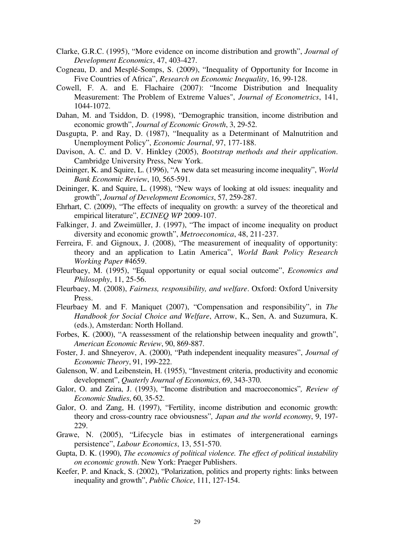- Clarke, G.R.C. (1995), "More evidence on income distribution and growth", *Journal of Development Economics*, 47, 403-427.
- Cogneau, D. and Mesplé-Somps, S. (2009), "Inequality of Opportunity for Income in Five Countries of Africa", *Research on Economic Inequality*, 16, 99-128.
- Cowell, F. A. and E. Flachaire (2007): "Income Distribution and Inequality Measurement: The Problem of Extreme Values", *Journal of Econometrics*, 141, 1044-1072.
- Dahan, M. and Tsiddon, D. (1998), "Demographic transition, income distribution and economic growth", *Journal of Economic Growth*, 3, 29-52.
- Dasgupta, P. and Ray, D. (1987), "Inequality as a Determinant of Malnutrition and Unemployment Policy", *Economic Journal*, 97, 177-188.
- Davison, A. C. and D. V. Hinkley (2005), *Bootstrap methods and their application*. Cambridge University Press, New York.
- Deininger, K. and Squire, L. (1996), "A new data set measuring income inequality", *World Bank Economic Review*, 10, 565-591.
- Deininger, K. and Squire, L. (1998), "New ways of looking at old issues: inequality and growth", *Journal of Development Economics*, 57, 259-287.
- Ehrhart, C. (2009), "The effects of inequality on growth: a survey of the theoretical and empirical literature", *ECINEQ WP* 2009-107.
- Falkinger, J. and Zweimüller, J. (1997), "The impact of income inequality on product diversity and economic growth", *Metroeconomica*, 48, 211-237.
- Ferreira, F. and Gignoux, J. (2008), "The measurement of inequality of opportunity: theory and an application to Latin America", *World Bank Policy Research Working Paper* #4659.
- Fleurbaey, M. (1995), "Equal opportunity or equal social outcome", *Economics and Philosophy*, 11, 25-56.
- Fleurbaey, M. (2008), *Fairness, responsibility, and welfare*. Oxford: Oxford University Press.
- Fleurbaey M. and F. Maniquet (2007), "Compensation and responsibility", in *The Handbook for Social Choice and Welfare*, Arrow, K., Sen, A. and Suzumura, K. (eds.), Amsterdan: North Holland.
- Forbes, K. (2000), "A reassessment of the relationship between inequality and growth", *American Economic Review*, 90, 869-887.
- Foster, J. and Shneyerov, A. (2000), "Path independent inequality measures", *Journal of Economic Theory*, 91, 199-222.
- Galenson, W. and Leibenstein, H. (1955), "Investment criteria, productivity and economic development", *Quaterly Journal of Economics*, 69, 343-370.
- Galor, O. and Zeira, J. (1993), "Income distribution and macroeconomics"*, Review of Economic Studies*, 60, 35-52.
- Galor, O. and Zang, H. (1997), "Fertility, income distribution and economic growth: theory and cross-country race obviousness"*, Japan and the world economy*, 9, 197- 229.
- Grawe, N. (2005), "Lifecycle bias in estimates of intergenerational earnings persistence", *Labour Economics*, 13, 551-570.
- Gupta, D. K. (1990), *The economics of political violence. The effect of political instability on economic growth*. New York: Praeger Publishers.
- Keefer, P. and Knack, S. (2002), "Polarization, politics and property rights: links between inequality and growth", *Public Choice*, 111, 127-154.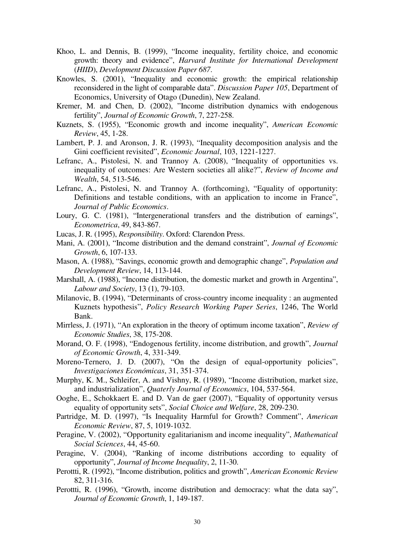- Khoo, L. and Dennis, B. (1999), "Income inequality, fertility choice, and economic growth: theory and evidence", *Harvard Institute for International Development*  (*HIID*), *Development Discussion Paper 687*.
- Knowles, S. (2001), "Inequality and economic growth: the empirical relationship reconsidered in the light of comparable data". *Discussion Paper 105*, Department of Economics, University of Otago (Dunedin), New Zealand.
- Kremer, M. and Chen, D. (2002), "Income distribution dynamics with endogenous fertility", *Journal of Economic Growth*, 7, 227-258.
- Kuznets, S. (1955), "Economic growth and income inequality", *American Economic Review*, 45, 1-28.
- Lambert, P. J. and Aronson, J. R. (1993), "Inequality decomposition analysis and the Gini coefficient revisited", *Economic Journal*, 103, 1221-1227.
- Lefranc, A., Pistolesi, N. and Trannoy A. (2008), "Inequality of opportunities vs. inequality of outcomes: Are Western societies all alike?", *Review of Income and Wealth*, 54, 513-546.
- Lefranc, A., Pistolesi, N. and Trannoy A. (forthcoming), "Equality of opportunity: Definitions and testable conditions, with an application to income in France", *Journal of Public Economics*.
- Loury, G. C. (1981), "Intergenerational transfers and the distribution of earnings", *Econometrica*, 49, 843-867.
- Lucas, J. R. (1995), *Responsibility*. Oxford: Clarendon Press.
- Mani, A. (2001), "Income distribution and the demand constraint", *Journal of Economic Growth*, 6, 107-133.
- Mason, A. (1988), "Savings, economic growth and demographic change", *Population and Development Review*, 14, 113-144.
- Marshall, A. (1988), "Income distribution, the domestic market and growth in Argentina", *Labour and Society*, 13 (1), 79-103.
- Milanovic, B. (1994), "Determinants of cross-country income inequality : an augmented Kuznets hypothesis", *Policy Research Working Paper Series*, 1246, The World Bank.
- Mirrless, J. (1971), "An exploration in the theory of optimum income taxation", *Review of Economic Studies*, 38, 175-208.
- Morand, O. F. (1998), "Endogenous fertility, income distribution, and growth", *Journal of Economic Growth*, 4, 331-349.
- Moreno-Ternero, J. D. (2007), "On the design of equal-opportunity policies", *Investigaciones Económicas*, 31, 351-374.
- Murphy, K. M., Schleifer, A. and Vishny, R. (1989), "Income distribution, market size, and industrialization", *Quaterly Journal of Economics*, 104, 537-564.
- Ooghe, E., Schokkaert E. and D. Van de gaer (2007), "Equality of opportunity versus equality of opportunity sets", *Social Choice and Welfare*, 28, 209-230.
- Partridge, M. D. (1997), "Is Inequality Harmful for Growth? Comment", *American Economic Review*, 87, 5, 1019-1032.
- Peragine, V. (2002), "Opportunity egalitarianism and income inequality", *Mathematical Social Sciences*, 44, 45-60.
- Peragine, V. (2004), "Ranking of income distributions according to equality of opportunity", *Journal of Income Inequality*, 2, 11-30.
- Perottti, R. (1992), "Income distribution, politics and growth", *American Economic Review*  82, 311-316.
- Perottti, R. (1996), "Growth, income distribution and democracy: what the data say", *Journal of Economic Growth*, 1, 149-187.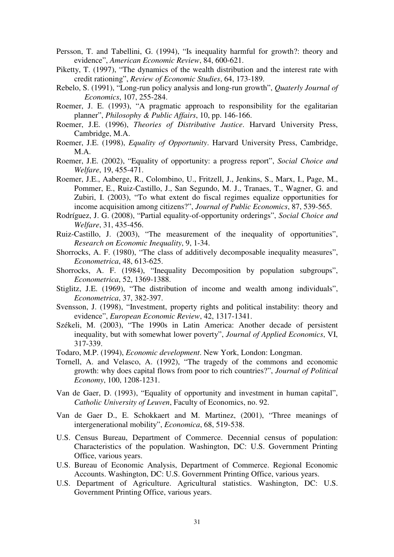- Persson, T. and Tabellini, G. (1994), "Is inequality harmful for growth?: theory and evidence", *American Economic Review*, 84, 600-621.
- Piketty, T. (1997), "The dynamics of the wealth distribution and the interest rate with credit rationing", *Review of Economic Studies*, 64, 173-189.
- Rebelo, S. (1991), "Long-run policy analysis and long-run growth", *Quaterly Journal of Economics*, 107, 255-284.
- Roemer, J. E. (1993), "A pragmatic approach to responsibility for the egalitarian planner", *Philosophy & Public Affairs*, 10, pp. 146-166.
- Roemer, J.E. (1996), *Theories of Distributive Justice*. Harvard University Press, Cambridge, M.A.
- Roemer, J.E. (1998), *Equality of Opportunity*. Harvard University Press, Cambridge, M.A.
- Roemer, J.E. (2002), "Equality of opportunity: a progress report", *Social Choice and Welfare*, 19, 455-471.
- Roemer, J.E., Aaberge, R., Colombino, U., Fritzell, J., Jenkins, S., Marx, I., Page, M., Pommer, E., Ruiz-Castillo, J., San Segundo, M. J., Tranaes, T., Wagner, G. and Zubiri, I. (2003), "To what extent do fiscal regimes equalize opportunities for income acquisition among citizens?", *Journal of Public Economics*, 87, 539-565.
- Rodríguez, J. G. (2008), "Partial equality-of-opportunity orderings", *Social Choice and Welfare*, 31, 435-456.
- Ruiz-Castillo, J. (2003), "The measurement of the inequality of opportunities", *Research on Economic Inequality*, 9, 1-34.
- Shorrocks, A. F. (1980), "The class of additively decomposable inequality measures", *Econometrica*, 48, 613-625.
- Shorrocks, A. F. (1984), "Inequality Decomposition by population subgroups", *Econometrica*, 52, 1369-1388.
- Stiglitz, J.E. (1969), "The distribution of income and wealth among individuals", *Econometrica*, 37, 382-397.
- Svensson, J. (1998), "Investment, property rights and political instability: theory and evidence", *European Economic Review*, 42, 1317-1341.
- Székeli, M. (2003), "The 1990s in Latin America: Another decade of persistent inequality, but with somewhat lower poverty", *Journal of Applied Economics*, VI, 317-339.
- Todaro, M.P. (1994), *Economic development*. New York, London: Longman.
- Tornell, A. and Velasco, A. (1992), "The tragedy of the commons and economic growth: why does capital flows from poor to rich countries?", *Journal of Political Economy*, 100, 1208-1231.
- Van de Gaer, D. (1993), "Equality of opportunity and investment in human capital", *Catholic University of Leuven*, Faculty of Economics, no. 92.
- Van de Gaer D., E. Schokkaert and M. Martinez, (2001), "Three meanings of intergenerational mobility", *Economica*, 68, 519-538.
- U.S. Census Bureau, Department of Commerce. Decennial census of population: Characteristics of the population. Washington, DC: U.S. Government Printing Office, various years.
- U.S. Bureau of Economic Analysis, Department of Commerce. Regional Economic Accounts. Washington, DC: U.S. Government Printing Office, various years.
- U.S. Department of Agriculture. Agricultural statistics. Washington, DC: U.S. Government Printing Office, various years.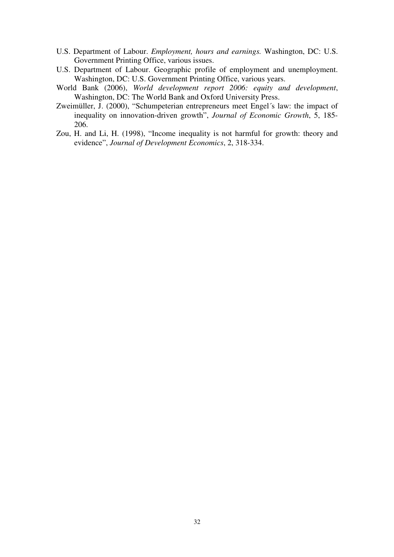- U.S. Department of Labour. *Employment, hours and earnings.* Washington, DC: U.S. Government Printing Office, various issues.
- U.S. Department of Labour. Geographic profile of employment and unemployment. Washington, DC: U.S. Government Printing Office, various years.
- World Bank (2006), *World development report 2006: equity and development*, Washington, DC: The World Bank and Oxford University Press.
- Zweimüller, J. (2000), "Schumpeterian entrepreneurs meet Engel´s law: the impact of inequality on innovation-driven growth", *Journal of Economic Growth*, 5, 185- 206.
- Zou, H. and Li, H. (1998), "Income inequality is not harmful for growth: theory and evidence", *Journal of Development Economics*, 2, 318-334.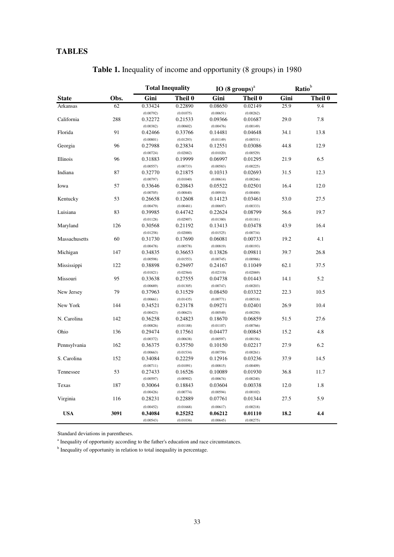# **TABLES**

|               |      | <b>Total Inequality</b> |           |           | IO $(8 \text{ groups})^a$ | Ratio <sup>b</sup> |         |
|---------------|------|-------------------------|-----------|-----------|---------------------------|--------------------|---------|
| <b>State</b>  | Obs. | Gini                    | Theil 0   | Gini      | Theil 0                   | Gini               | Theil 0 |
| Arkansas      | 62   | 0.33424                 | 0.22890   | 0.08650   | 0.02149                   | 25.9               | 9.4     |
|               |      | (0.00792)               | (0.01075) | (0.00651) | (0.00262)                 |                    |         |
| California    | 288  | 0.32272                 | 0.21533   | 0.09366   | 0.01687                   | 29.0               | 7.8     |
|               |      | (0.00382)               | (0.00602) | (0.00476) | (0.00149)                 |                    |         |
| Florida       | 91   | 0.42466                 | 0.33766   | 0.14481   | 0.04648                   | 34.1               | 13.8    |
|               |      | (0.00801)               | (0.01293) | (0.01149) | (0.00531)                 |                    |         |
| Georgia       | 96   | 0.27988                 | 0.23834   | 0.12551   | 0.03086                   | 44.8               | 12.9    |
|               |      | (0.00724)               | (0.02882) | (0.01020) | (0.00529)                 |                    |         |
| Illinois      | 96   | 0.31883                 | 0.19999   | 0.06997   | 0.01295                   | 21.9               | 6.5     |
|               |      | (0.00557)               | (0.00733) | (0.00583) | (0.00225)                 |                    |         |
| Indiana       | 87   | 0.32770                 | 0.21875   | 0.10313   | 0.02693                   | 31.5               | 12.3    |
|               |      | (0.00797)               | (0.01040) | (0.00614) | (0.00246)                 |                    |         |
| Iowa          | 57   | 0.33646                 | 0.20843   | 0.05522   | 0.02501                   | 16.4               | 12.0    |
|               |      | (0.00705)               | (0.00840) | (0.00910) | (0.00400)                 |                    |         |
| Kentucky      | 53   | 0.26658                 | 0.12608   | 0.14123   | 0.03461                   | 53.0               | 27.5    |
|               |      | (0.00479)               | (0.00481) | (0.00697) | (0.00333)                 |                    |         |
| Luisiana      | 83   | 0.39985                 | 0.44742   | 0.22624   | 0.08799                   | 56.6               | 19.7    |
|               |      | (0.01128)               | (0.02907) | (0.01380) | (0.01181)                 |                    |         |
| Maryland      | 126  | 0.30568                 | 0.21192   | 0.13413   | 0.03478                   | 43.9               | 16.4    |
|               |      | (0.01258)               | (0.02000) | (0.01525) | (0.00734)                 |                    |         |
| Massachusetts | 60   | 0.31730                 | 0.17690   | 0.06081   | 0.00733                   | 19.2               | 4.1     |
|               |      | (0.00478)               | (0.00578) | (0.00819) | (0.00193)                 |                    |         |
| Michigan      | 147  | 0.34835                 | 0.36653   | 0.13826   | 0.09811                   | 39.7               | 26.8    |
|               |      | (0.00598)               | (0.01553) | (0.00745) | (0.00986)                 |                    |         |
| Mississippi   | 122  | 0.38898                 | 0.29497   | 0.24167   | 0.11049                   | 62.1               | 37.5    |
|               |      | (0.01821)               | (0.02564) | (0.02319) | (0.02069)                 |                    |         |
| Missouri      | 95   | 0.33638                 | 0.27555   | 0.04738   | 0.01443                   | 14.1               | 5.2     |
|               |      | (0.00689)               | (0.01305) | (0.00747) | (0.00203)                 |                    |         |
| New Jersey    | 79   | 0.37963                 | 0.31529   | 0.08450   | 0.03322                   | 22.3               | 10.5    |
|               |      | (0.00661)               | (0.01435) | (0.00771) | (0.00518)                 |                    |         |
| New York      | 144  | 0.34521                 | 0.23178   | 0.09271   | 0.02401                   | 26.9               | 10.4    |
|               |      | (0.00423)               | (0.00623) | (0.00549) | (0.00250)                 |                    |         |
| N. Carolina   | 142  | 0.36258                 | 0.24823   | 0.18670   | 0.06859                   | 51.5               | 27.6    |
|               |      | (0.00826)               | (0.01188) | (0.01107) | (0.00766)                 |                    |         |
| Ohio          | 136  | 0.29474                 | 0.17561   | 0.04477   | 0.00845                   | 15.2               | 4.8     |
|               |      | (0.00372)               | (0.00638) | (0.00597) | (0.00156)                 |                    |         |
| Pennsylvania  | 162  | 0.36375                 | 0.35750   | 0.10150   | 0.02217                   | 27.9               | 6.2     |
|               |      | (0.00663)               | (0.01534) | (0.00759) | (0.00261)                 |                    |         |
| S. Carolina   | 152  | 0.34084                 | 0.22259   | 0.12916   | 0.03236                   | 37.9               | 14.5    |
|               |      | (0.00711)               | (0.01091) | (0.00815) | (0.00409)                 |                    |         |
| Tennessee     | 53   | 0.27433                 | 0.16526   | 0.10089   | 0.01930                   | 36.8               | 11.7    |
|               |      | (0.00597)               | (0.00902) | (0.00674) | (0.00240)                 |                    |         |
| Texas         | 187  | 0.30064                 | 0.18843   | 0.03604   | 0.00338                   | 12.0               | 1.8     |
|               |      | (0.00426)               | (0.00774) | (0.00594) | (0.00102)                 |                    |         |
| Virginia      | 116  | 0.28231                 | 0.22889   | 0.07761   | 0.01344                   | 27.5               | 5.9     |
|               |      | (0.00452)               | (0.01668) | (0.00617) | (0.00218)                 |                    |         |
| <b>USA</b>    | 3091 | 0.34084                 | 0.25252   | 0.06212   | 0.01110                   | 18.2               | 4.4     |
|               |      | (0.00543)               | (0.01036) | (0.00645) | (0.00275)                 |                    |         |

| <b>Table 1.</b> Inequality of income and opportunity (8 groups) in 1980 |  |  |  |
|-------------------------------------------------------------------------|--|--|--|
|-------------------------------------------------------------------------|--|--|--|

Standard deviations in parentheses.

<sup>a</sup> Inequality of opportunity according to the father's education and race circumstances.

<sup>b</sup> Inequality of opportunity in relation to total inequality in percentage.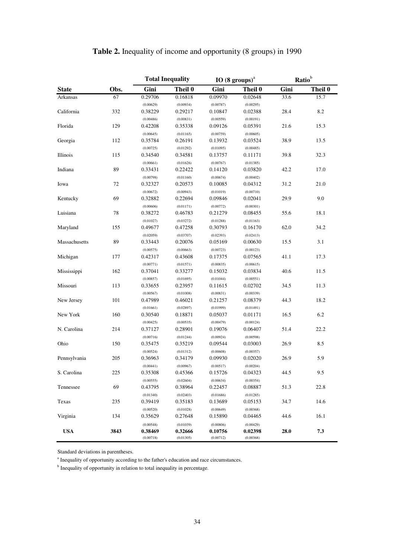|               |      | <b>Total Inequality</b> |           |           | IO $(8 \text{ groups})^a$ | $\mathbf{Ratio}^\mathsf{b}$ |         |
|---------------|------|-------------------------|-----------|-----------|---------------------------|-----------------------------|---------|
| <b>State</b>  | Obs. | Gini                    | Theil 0   | Gini      | Theil 0                   | Gini                        | Theil 0 |
| Arkansas      | 67   | 0.29706                 | 0.16818   | 0.09970   | 0.02648                   | 33.6                        | 15.7    |
|               |      | (0.00629)               | (0.00934) | (0.00787) | (0.00295)                 |                             |         |
| California    | 332  | 0.38229                 | 0.29217   | 0.10847   | 0.02388                   | 28.4                        | 8.2     |
|               |      | (0.00486)               | (0.00831) | (0.00559) | (0.00191)                 |                             |         |
| Florida       | 129  | 0.42208                 | 0.35338   | 0.09126   | 0.05391                   | 21.6                        | 15.3    |
|               |      | (0.00645)               | (0.01165) | (0.00759) | (0.00605)                 |                             |         |
| Georgia       | 112  | 0.35784                 | 0.26191   | 0.13932   | 0.03524                   | 38.9                        | 13.5    |
|               |      | (0.00725)               | (0.01292) | (0.01095) | (0.00485)                 |                             |         |
| Illinois      | 115  | 0.34540                 | 0.34581   | 0.13757   | 0.11171                   | 39.8                        | 32.3    |
|               |      | (0.00661)               | (0.01626) | (0.00767) | (0.01385)                 |                             |         |
| Indiana       | 89   | 0.33431                 | 0.22422   | 0.14120   | 0.03820                   | 42.2                        | 17.0    |
|               |      | (0.00798)               | (0.01160) | (0.00674) | (0.00402)                 |                             |         |
| Iowa          | 72   | 0.32327                 | 0.20573   | 0.10085   | 0.04312                   | 31.2                        | 21.0    |
|               |      | (0.00672)               | (0.00943) | (0.01019) | (0.00710)                 |                             |         |
| Kentucky      | 69   | 0.32882                 | 0.22694   | 0.09846   | 0.02041                   | 29.9                        | 9.0     |
|               |      | (0.00606)               | (0.01171) | (0.00772) | (0.00301)                 |                             |         |
| Luisiana      | 78   | 0.38272                 | 0.46783   | 0.21279   | 0.08455                   | 55.6                        | 18.1    |
|               |      | (0.01027)               | (0.03272) | (0.01288) | (0.01163)                 |                             |         |
| Maryland      | 155  | 0.49677                 | 0.47258   | 0.30793   | 0.16170                   | 62.0                        | 34.2    |
|               |      | (0.02059)               | (0.03707) | (0.02393) | (0.02413)                 |                             |         |
| Massachusetts | 89   | 0.33443                 | 0.20076   | 0.05169   | 0.00630                   | 15.5                        | 3.1     |
|               |      | (0.00575)               | (0.00663) | (0.00723) | (0.00123)                 |                             |         |
| Michigan      | 177  | 0.42317                 | 0.43608   | 0.17375   | 0.07565                   | 41.1                        | 17.3    |
|               |      | (0.00771)               | (0.01571) | (0.00835) | (0.00615)                 |                             |         |
| Mississippi   | 162  | 0.37041                 | 0.33277   | 0.15032   | 0.03834                   | 40.6                        | 11.5    |
|               |      | (0.00857)               | (0.01695) | (0.01044) | (0.00551)                 |                             |         |
| Missouri      | 113  | 0.33655                 | 0.23957   | 0.11615   | 0.02702                   | 34.5                        | 11.3    |
|               |      | (0.00567)               | (0.01008) | (0.00831) | (0.00339)                 |                             |         |
| New Jersey    | 101  | 0.47989                 | 0.46021   | 0.21257   | 0.08379                   | 44.3                        | 18.2    |
|               |      | (0.01661)               | (0.02897) | (0.01999) | (0.01491)                 |                             |         |
| New York      | 160  | 0.30540                 | 0.18871   | 0.05037   | 0.01171                   | 16.5                        | 6.2     |
|               |      | (0.00425)               | (0.00535) | (0.00479) | (0.00124)                 |                             |         |
| N. Carolina   | 214  | 0.37127                 | 0.28901   | 0.19076   | 0.06407                   | 51.4                        | 22.2    |
|               |      | (0.00716)               | (0.01244) | (0.00924) | (0.00598)                 |                             |         |
| Ohio          | 150  | 0.35475                 | 0.35219   | 0.09544   | 0.03003                   | 26.9                        | 8.5     |
|               |      | (0.00524)               | (0.01312) | (0.00608) | (0.00357)                 |                             |         |
| Pennsylvania  | 205  | 0.36963                 | 0.34179   | 0.09930   | 0.02020                   | 26.9                        | 5.9     |
|               |      | (0.00441)               | (0.00967) | (0.00517) | (0.00204)                 |                             |         |
| S. Carolina   | 225  | 0.35308                 | 0.45366   | 0.15726   | 0.04323                   | 44.5                        | 9.5     |
|               |      | (0.00555)               | (0.02604) | (0.00634) | (0.00354)                 |                             |         |
| Tennessee     | 69   | 0.43795                 | 0.38964   | 0.22457   | 0.08887                   | 51.3                        | 22.8    |
|               |      | (0.01340)               | (0.02403) | (0.01686) | (0.01285)                 |                             |         |
| Texas         | 235  | 0.39419                 | 0.35183   | 0.13689   | 0.05153                   | 34.7                        | 14.6    |
|               |      | (0.00520)               | (0.01028) | (0.00649) | (0.00368)                 |                             |         |
| Virginia      | 134  | 0.35629                 | 0.27648   | 0.15890   | 0.04465                   | 44.6                        | 16.1    |
|               |      | (0.00548)               | (0.01039) | (0.00806) | (0.00429)                 |                             |         |
| <b>USA</b>    | 3843 | 0.38469                 | 0.32666   | 0.10756   | 0.02398                   | 28.0                        | 7.3     |
|               |      | (0.00718)               | (0.01305) | (0.00712) | (0.00368)                 |                             |         |

# **Table 2.** Inequality of income and opportunity (8 groups) in 1990

Standard deviations in parentheses.

<sup>a</sup> Inequality of opportunity according to the father's education and race circumstances.

<sup>b</sup> Inequality of opportunity in relation to total inequality in percentage.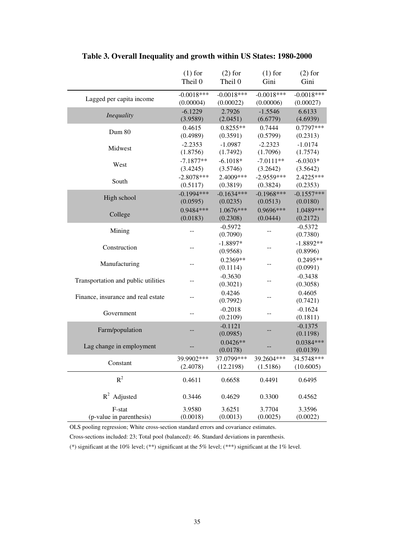|                                     | $(1)$ for              | $(2)$ for    | $(1)$ for    | $(2)$ for    |
|-------------------------------------|------------------------|--------------|--------------|--------------|
|                                     | Theil 0                | Theil 0      | Gini         | Gini         |
|                                     | $-0.0018***$           | $-0.0018***$ | $-0.0018***$ | $-0.0018***$ |
| Lagged per capita income            | (0.00004)              | (0.00022)    | (0.00006)    | (0.00027)    |
| <b>Inequality</b>                   | $-6.1229$              | 2.7926       | $-1.5546$    | 6.6133       |
|                                     | (3.9589)               | (2.0451)     | (6.6779)     | (4.6939)     |
| Dum 80                              | 0.4615                 | $0.8255**$   | 0.7444       | 0.7797***    |
|                                     | (0.4989)               | (0.3591)     | (0.5799)     | (0.2313)     |
| Midwest                             | $-2.2353$              | $-1.0987$    | $-2.2323$    | $-1.0174$    |
|                                     | (1.8756)               | (1.7492)     | (1.7096)     | (1.7574)     |
| West                                | $-7.1877**$            | $-6.1018*$   | $-7.0111**$  | $-6.0303*$   |
|                                     | (3.4245)               | (3.5746)     | (3.2642)     | (3.5642)     |
| South                               | $-2.8078***$           | 2.4009***    | $-2.9559***$ | 2.4225***    |
|                                     | (0.5117)               | (0.3819)     | (0.3824)     | (0.2353)     |
| High school                         | $-0.1994***$           | $-0.1634***$ | $-0.1968***$ | $-0.1557***$ |
|                                     | (0.0595)               | (0.0235)     | (0.0513)     | (0.0180)     |
| College                             | $0.9484***$            | $1.0676***$  | $0.9696***$  | 1.0489***    |
|                                     | (0.0183)               | (0.2308)     | (0.0444)     | (0.2172)     |
| Mining                              |                        | $-0.5972$    |              | $-0.5372$    |
|                                     |                        | (0.7090)     |              | (0.7380)     |
| Construction                        | --                     | $-1.8897*$   |              | $-1.8892**$  |
|                                     |                        | (0.9568)     |              | (0.8996)     |
| Manufacturing                       | $-$                    | $0.2369**$   |              | $0.2495**$   |
|                                     |                        | (0.1114)     |              | (0.0991)     |
| Transportation and public utilities |                        | $-0.3630$    |              | $-0.3438$    |
|                                     |                        | (0.3021)     |              | (0.3058)     |
| Finance, insurance and real estate  | $-$                    | 0.4246       |              | 0.4605       |
|                                     |                        | (0.7992)     |              | (0.7421)     |
| Government                          |                        | $-0.2018$    |              | $-0.1624$    |
|                                     |                        | (0.2109)     |              | (0.1811)     |
| Farm/population                     |                        | $-0.1121$    |              | $-0.1375$    |
|                                     |                        | (0.0985)     |              | (0.1198)     |
| Lag change in employment            |                        | $0.0426**$   |              | $0.0384***$  |
|                                     |                        | (0.0178)     |              | (0.0139)     |
| Constant                            | 39.9902***<br>(2.4078) | 37.0799***   | 39.2604***   | 34.5748***   |
|                                     |                        | (12.2198)    | (1.5186)     | (10.6005)    |
| $R^2$                               | 0.4611                 | 0.6658       | 0.4491       | 0.6495       |
|                                     |                        |              |              |              |
| $R^2$ Adjusted                      | 0.3446                 | 0.4629       | 0.3300       | 0.4562       |
| F-stat                              | 3.9580                 | 3.6251       | 3.7704       | 3.3596       |
| (p-value in parenthesis)            | (0.0018)               | (0.0013)     | (0.0025)     | (0.0022)     |
|                                     |                        |              |              |              |

**Table 3. Overall Inequality and growth within US States: 1980-2000** 

OLS pooling regression; White cross-section standard errors and covariance estimates.

Cross-sections included: 23; Total pool (balanced): 46. Standard deviations in parenthesis.

(\*) significant at the 10% level; (\*\*) significant at the 5% level; (\*\*\*) significant at the 1% level.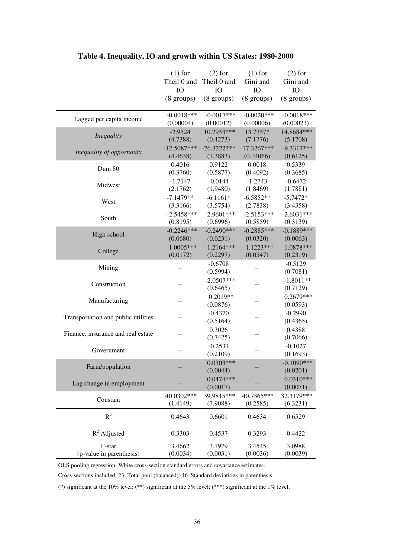|                                     | $(1)$ for            | $(2)$ for             | $(1)$ for            | $(2)$ for             |
|-------------------------------------|----------------------|-----------------------|----------------------|-----------------------|
|                                     | Theil 0 and          | Theil 0 and           | Gini and             | Gini and              |
|                                     | IO                   | IO                    | IO                   | IO                    |
|                                     | $(8 \text{ groups})$ | $(8 \text{ groups})$  | $(8 \text{ groups})$ | $(8 \text{ groups})$  |
|                                     |                      |                       |                      |                       |
| Lagged per capita income            | $-0.0018***$         | $-0.0017***$          | $-0.0020***$         | $-0.0018***$          |
|                                     | (0.00004)            | (0.00012)             | (0.00006)            | (0.00023)             |
| <b>Inequality</b>                   | $-2.9524$            | 10.7953***            | 13.7357*             | 14.8684***            |
|                                     | (4.7388)             | (0.4273)              | (7.1776)             | (5.1708)              |
| Inequality of opportunity           | $-12.5087***$        | $-26.3222***$         | $-17.3267***$        | $-9.3317***$          |
|                                     | (4.4638)             | (1.3883)              | (0.14066)            | (0.6125)              |
| Dum 80                              | 0.4016               | 0.9122                | 0.0018               | 0.5339                |
|                                     | (0.3760)             | (0.5877)              | (0.4092)             | (0.3685)              |
| Midwest                             | $-1.7147$            | $-0.0144$             | $-1.2743$            | $-0.6472$             |
|                                     | (2.1762)             | (1.9480)              | (1.8469)             | (1.7881)              |
| West                                | $-7.1479**$          | $-6.1161*$            | $-6.5852**$          | $-5.7472*$            |
|                                     | (3.3166)             | (3.5754)              | (2.7838)             | (3.4358)              |
| South                               | $-2.5458***$         | 2.9601***             | $-2.5153***$         | $2.6031***$           |
|                                     | (0.8195)             | (0.6996)              | (0.5859)             | (0.3139)              |
| High school                         | $-0.2246***$         | $-0.2490***$          | $-0.2885***$         | $-0.1889***$          |
|                                     | (0.0680)             | (0.0231)              | (0.0320)             | (0.0063)              |
| College                             | 1.0005***            | $1.2164***$           | $1.1223***$          | 1.0878***             |
|                                     | (0.0172)             | (0.2297)              | (0.0547)             | (0.2319)              |
| Mining                              |                      | $-0.6708$             |                      | $-0.5129$             |
|                                     |                      | (0.5994)              |                      | (0.7081)              |
| Construction                        |                      | $-2.0507***$          |                      | $-1.8011**$           |
|                                     |                      | (0.6465)              |                      | (0.7129)              |
| Manufacturing                       | $-$                  | $0.2019**$            |                      | $0.2679***$           |
|                                     |                      | (0.0876)              |                      | (0.0593)              |
| Transportation and public utilities |                      | $-0.4370$             |                      | $-0.2990$             |
|                                     |                      | (0.5164)              |                      | (0.4365)              |
| Finance, insurance and real estate  |                      | 0.3026                |                      | 0.4388                |
|                                     |                      | (0.7425)              |                      | (0.7066)              |
| Government                          | --                   | $-0.2531$<br>(0.2109) |                      | $-0.1027$<br>(0.1693) |
|                                     |                      | $0.0303***$           |                      | $-0.1090***$          |
| Farm/population                     |                      | (0.0044)              |                      | (0.0201)              |
|                                     |                      | $0.0474***$           |                      | $0.0310***$           |
| Lag change in employment            |                      | (0.0017)              |                      | (0.0071)              |
|                                     | 40.0302***           | 39.9815***            | 40.7365***           | 32.3179***            |
| Constant                            | (1.4149)             | (7.9088)              | (0.2585)             | (6.3231)              |
|                                     |                      |                       |                      |                       |
| $R^2$                               | 0.4643               | 0.6601                | 0.4634               | 0.6529                |
|                                     |                      |                       |                      |                       |
| $R^2$ Adjusted                      | 0.3303               | 0.4537                | 0.3293               | 0.4422                |
| F-stat                              | 3.4662               | 3.1979                | 3.4545               | 3.0988                |
| (p-value in parenthesis)            | (0.0034)             | (0.0031)              | (0.0036)             | (0.0039)              |

# **Table 4. Inequality, IO and growth within US States: 1980-2000**

OLS pooling regression; White cross-section standard errors and covariance estimates.

Cross-sections included: 23; Total pool (balanced): 46. Standard deviations in parenthesis.

(\*) significant at the 10% level; (\*\*) significant at the 5% level; (\*\*\*) significant at the 1% level.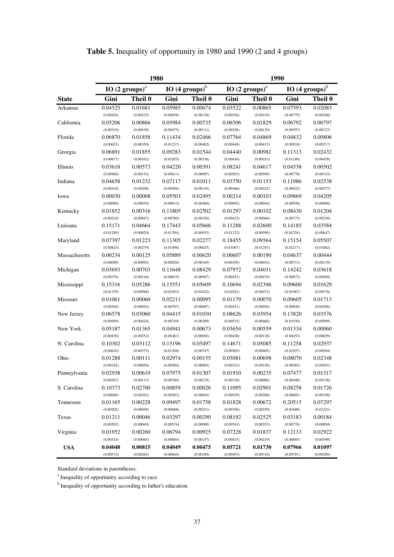|               | 1980      |                           |           |                           | 1990      |                           |           |                           |
|---------------|-----------|---------------------------|-----------|---------------------------|-----------|---------------------------|-----------|---------------------------|
|               |           | IO $(2 \text{ groups})^a$ |           | IO $(4 \text{ groups})^b$ |           | IO $(2 \text{ groups})^a$ |           | IO $(4 \text{ groups})^b$ |
| <b>State</b>  | Gini      | Theil 0                   | Gini      | Theil 0                   | Gini      | Theil 0                   | Gini      | Theil 0                   |
| Arkansas      | 0.04525   | 0.01681                   | 0.05985   | 0.00674                   | 0.03522   | 0.00865                   | 0.07593   | 0.02083                   |
|               | (0.00426) | (0.00235)                 | (0.00658) | (0.00130)                 | (0.00356) | (0.00145)                 | (0.00775) | (0.00266)                 |
| California    | 0.05206   | 0.00866                   | 0.05984   | 0.00735                   | 0.06506   | 0.01829                   | 0.06792   | 0.00797                   |
|               | (0.00319) | (0.00109)                 | (0.00475) | (0.00111)                 | (0.00258) | (0.00139)                 | (0.00557) | (0.00127)                 |
| Florida       | 0.06870   | 0.01858                   | 0.11434   | 0.02466                   | 0.07764   | 0.04869                   | 0.04832   | 0.00806                   |
|               | (0.00623) | (0.00350)                 | (0.01237) | (0.00482)                 | (0.00448) | (0.00415)                 | (0.00910) | (0.00217)                 |
| Georgia       | 0.06891   | 0.01855                   | 0.09283   | 0.01544                   | 0.04440   | 0.00981                   | 0.11313   | 0.02432                   |
|               | (0.00677) | (0.00342)                 | (0.01055) | (0.00336)                 | (0.00436) | (0.00183)                 | (0.01189) | (0.00458)                 |
| Illinois      | 0.03618   | 0.00573                   | 0.04220   | 0.00391                   | 0.08241   | 0.04617                   | 0.04538   | 0.00502                   |
|               | (0.00460) | (0.00152)                 | (0.00611) | (0.00097)                 | (0.00503) | (0.00509)                 | (0.00778) | (0.00143)                 |
| Indiana       | 0.04658   | 0.01232                   | 0.07117   | 0.01011                   | 0.03750   | 0.01153                   | 0.11986   | 0.02538                   |
|               | (0.00410) | (0.00208)                 | (0.00586) | (0.00145)                 | (0.00366) | (0.00225)                 | (0.00622) | (0.00277)                 |
| Iowa          | 0.00030   | 0.00008                   | 0.05503   | 0.02495                   | 0.00214   | 0.00103                   | 0.09869   | 0.04205                   |
|               | (0.00000) | (0.00030)                 | (0.00913) | (0.00400)                 | (0.00092) | (0.00044)                 | (0.00950) | (0.00690)                 |
| Kentucky      | 0.01852   | 0.00316                   | 0.11805   | 0.02502                   | 0.01297   | 0.00102                   | 0.08430   | 0.01204                   |
|               | (0.00210) | (0.00047)                 | (0.00780) | (0.00326)                 | (0.00422) | (0.00066)                 | (0.00775) | (0.00230)                 |
| Luisiana      | 0.15171   | 0.04664                   | 0.17443   | 0.05666                   | 0.11288   | 0.02600                   | 0.14185   | 0.03584                   |
|               | (0.01289) | (0.00820)                 | (0.01394) | (0.00953)                 | (0.01232) | (0.00590)                 | (0.01254) | (0.00647)                 |
| Maryland      | 0.07397   | 0.01223                   | 0.11305   | 0.02277                   | 0.18455   | 0.09564                   | 0.15154   | 0.05507                   |
|               | (0.00824) | (0.00279)                 | (0.01496) | (0.00625)                 | (0.01087) | (0.01203)                 | (0.02217) | (0.01062)                 |
| Massachusetts | 0.00234   | 0.00125                   | 0.05889   | 0.00620                   | 0.00607   | 0.00190                   | 0.04637   | 0.00444                   |
|               | (0.00000) | (0.00092)                 | (0.00820) | (0.00169)                 | (0.00105) | (0.00034)                 | (0.00713) | (0.00119)                 |
| Michigan      | 0.03693   | 0.00703                   | 0.11648   | 0.08429                   | 0.07972   | 0.04031                   | 0.14242   | 0.03618                   |
|               | (0.00376) | (0.00146)                 | (0.00819) | (0.00907)                 | (0.00453) | (0.00470)                 | (0.00872) | (0.00409)                 |
| Mississippi   | 0.15316   | 0.05286                   | 0.15551   | 0.05609                   | 0.10694   | 0.02396                   | 0.09600   | 0.01629                   |
|               | (0.01339) | (0.00988)                 | (0.02493) | (0.01622)                 | (0.01021) | (0.00473)                 | (0.01087) | (0.00378)                 |
| Missouri      | 0.01061   | 0.00060                   | 0.02211   | 0.00095                   | 0.01179   | 0.00070                   | 0.09605   | 0.01713                   |
|               | (0.00369) | (0.00044)                 | (0.00707) | (0.00087)                 | (0.00421) | (0.00056)                 | (0.00848) | (0.00296)                 |
| New Jersey    | 0.06578   | 0.03060                   | 0.04415   | 0.01030                   | 0.08626   | 0.03954                   | 0.13820   | 0.03576                   |
|               | (0.00499) | (0.00424)                 | (0.00749) | (0.00309)                 | (0.00515) | (0.00466)                 | (0.01930) | (0.00999)                 |
| New York      | 0.05187   | 0.01365                   | 0.04941   | 0.00673                   | 0.03654   | 0.00559                   | 0.01334   | 0.00060                   |
|               | (0.00450) | (0.00252)                 | (0.00483) | (0.00082)                 | (0.00428) | (0.00138)                 | (0.00453) | (0.00029)                 |
| N. Carolina   | 0.10302   | 0.03112                   | 0.15196   | 0.05497                   | 0.14671   | 0.05085                   | 0.11258   | 0.02937                   |
|               | (0.00610) | (0.00375)                 | (0.01208) | (0.00747)                 | (0.00565) | (0.00405)                 | (0.01027) | (0.00504)                 |
| Ohio          | 0.01288   | 0.00111                   | 0.02974   | 0.00155                   | 0.03081   | 0.00698                   | 0.08070   | 0.02348                   |
|               | (0.00342) | (0.00056)                 | (0.00580) | (0.00065)                 | (0.00323) | (0.00150)                 | (0.00583) | (0.00291)                 |
| Pennsylvania  | 0.02938   | 0.00610                   | 0.07975   | 0.01307                   | 0.01910   | 0.00235                   | 0.07477   | 0.01317                   |
|               | (0.00267) | (0.00113)                 | (0.00780) | (0.00235)                 | (0.00330) | (0.00086)                 | (0.00496) | (0.00156)                 |
| S. Carolina   | 0.10373   | 0.02700                   | 0.00859   | 0.00026                   | 0.11095   | 0.02901                   | 0.08258   | 0.01726                   |
|               | (0.00688) | (0.00362)                 | (0.00563) | (0.00044)                 | (0.00529) | (0.00286)                 | (0.00601) | (0.00196)                 |
| Tennessee     | 0.01165   | 0.00228                   | 0.09497   | 0.01758                   | 0.01828   | 0.00672                   | 0.20515   | 0.07297                   |
|               | (0.00202) | (0.00058)                 | (0.00688) | (0.00231)                 | (0.00356) | (0.00259)                 | (0.01688) | (0.01221)                 |
| Texas         | 0.01211   | 0.00046                   | 0.03297   | 0.00290                   | 0.08192   | 0.02525                   | 0.03183   | 0.00184                   |
|               | (0.00502) | (0.00040)                 | (0.00576) | (0.00089)                 | (0.00543) | (0.00353)                 | (0.00776) | (0.00094)                 |
| Virginia      | 0.01952   | 0.00260                   | 0.06794   | 0.00925                   | 0.07228   | 0.01837                   | 0.12133   | 0.02922                   |
|               | (0.00314) | (0.00084)                 | (0.00604) | (0.00157)                 | (0.00435) | (0.00219)                 | (0.00885) | (0.00390)                 |
| <b>USA</b>    | 0.04048   | 0.00815                   | 0.04049   | 0.00475                   | 0.05721   | 0.01730                   | 0.07966   | 0.01097                   |
|               | (0.00515) | (0.00265)                 | (0.00664) | (0.00180)                 | (0.00493) | (0.00318)                 | (0.00791) | (0.00290)                 |

# **Table 5.** Inequality of opportunity in 1980 and 1990 (2 and 4 groups)

Standard deviations in parentheses.

<sup>a</sup> Inequality of opportunity according to race.

<sup>b</sup> Inequality of opportunity according to father's education.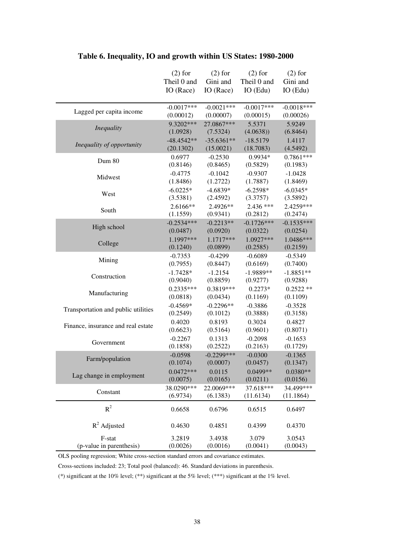|                                     | $(2)$ for               | $(2)$ for             | $(2)$ for             | $(2)$ for              |
|-------------------------------------|-------------------------|-----------------------|-----------------------|------------------------|
|                                     | Theil 0 and             | Gini and              | Theil 0 and           | Gini and               |
|                                     | IO (Race)               | IO (Race)             | $IO$ (Edu)            | IO (Edu)               |
|                                     |                         |                       |                       |                        |
| Lagged per capita income            | $-0.0017***$            | $-0.0021***$          | $-0.0017***$          | $-0.0018***$           |
|                                     | (0.00012)               | (0.00007)             | (0.00015)             | (0.00026)              |
| <b>Inequality</b>                   | 9.3202***               | 27.0867***            | 5.5371                | 5.9249                 |
|                                     | (1.0928)                | (7.5324)              | (4.0638)              | (6.8464)               |
| Inequality of opportunity           | $-48.4542**$            | $-35.6361**$          | $-18.5179$            | 1.4117                 |
|                                     | (20.1302)               | (15.0021)             | (18.7083)             | (4.5492)               |
| Dum 80                              | 0.6977                  | $-0.2530$             | 0.9934*               | 0.7861***              |
|                                     | (0.8146)                | (0.8465)              | (0.5829)              | (0.1983)               |
| Midwest                             | $-0.4775$               | $-0.1042$             | $-0.9307$             | $-1.0428$              |
|                                     | (1.8486)                | (1.2722)              | (1.7887)              | (1.8469)               |
| West                                | $-6.0225*$              | $-4.6839*$            | $-6.2598*$            | $-6.0345*$             |
|                                     | (3.5381)                | (2.4592)              | (3.3757)              | (3.5892)               |
| South                               | 2.6166**                | 2.4926**              | 2.436 ***             | 2.4259***              |
|                                     | (1.1559)                | (0.9341)              | (0.2812)              | (0.2474)               |
| High school                         | $-0.2534***$            | $-0.2213**$           | $-0.1726***$          | $-0.1535***$           |
|                                     | (0.0487)                | (0.0920)              | (0.0322)              | (0.0254)               |
| College                             | 1.1997***               | 1.1717***             | 1.0927***             | 1.0486***              |
|                                     | (0.1240)                | (0.0899)              | (0.2585)              | (0.2159)               |
| Mining                              | $-0.7353$               | $-0.4299$             | $-0.6089$             | $-0.5349$              |
|                                     | (0.7955)                | (0.8447)              | (0.6169)              | (0.7400)               |
| Construction                        | $-1.7428*$              | $-1.2154$             | $-1.9889**$           | $-1.8851**$            |
|                                     | (0.9040)<br>$0.2335***$ | (0.8859)<br>0.3819*** | (0.9277)<br>$0.2273*$ | (0.9288)               |
| Manufacturing                       | (0.0818)                | (0.0434)              | (0.1169)              | $0.2522**$<br>(0.1109) |
|                                     | $-0.4569*$              | $-0.2296**$           | $-0.3886$             | $-0.3528$              |
| Transportation and public utilities | (0.2549)                | (0.1012)              | (0.3888)              | (0.3158)               |
|                                     | 0.4020                  | 0.8193                | 0.3024                | 0.4827                 |
| Finance, insurance and real estate  | (0.6623)                | (0.5164)              | (0.9601)              | (0.8071)               |
|                                     | $-0.2267$               | 0.1313                | $-0.2098$             | $-0.1653$              |
| Government                          | (0.1858)                | (0.2522)              | (0.2163)              | (0.1729)               |
|                                     | $-0.0598$               | $-0.2299***$          | $-0.0300$             | $-0.1365$              |
| Farm/population                     | (0.1074)                | (0.0007)              | (0.0457)              | (0.1347)               |
|                                     | $0.0472***$             | 0.0115                | 0.0499**              | $0.0380**$             |
| Lag change in employment            | (0.0075)                | (0.0165)              | (0.0211)              | (0.0156)               |
|                                     | 38.0290***              | 22.0069***            | 37.618***             | 34.499***              |
| Constant                            | (6.9734)                | (6.1383)              | (11.6134)             | (11.1864)              |
|                                     |                         |                       |                       |                        |
| $R^2$                               | 0.6658                  | 0.6796                | 0.6515                | 0.6497                 |
|                                     |                         |                       |                       |                        |
| $R^2$ Adjusted                      | 0.4630                  | 0.4851                | 0.4399                | 0.4370                 |
| F-stat                              | 3.2819                  | 3.4938                | 3.079                 | 3.0543                 |
| (p-value in parenthesis)            | (0.0026)                | (0.0016)              | (0.0041)              | (0.0043)               |

# **Table 6. Inequality, IO and growth within US States: 1980-2000**

OLS pooling regression; White cross-section standard errors and covariance estimates.

Cross-sections included: 23; Total pool (balanced): 46. Standard deviations in parenthesis.

(\*) significant at the 10% level; (\*\*) significant at the 5% level; (\*\*\*) significant at the 1% level.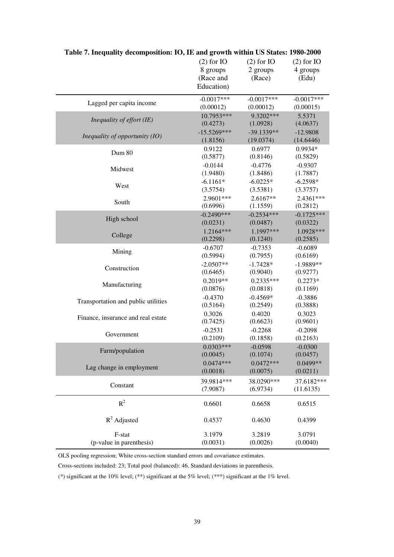|                                     | $(2)$ for IO<br>8 groups<br>(Race and<br>Education) | $(2)$ for IO<br>2 groups<br>(Race) | $(2)$ for IO<br>4 groups<br>(Edu) |
|-------------------------------------|-----------------------------------------------------|------------------------------------|-----------------------------------|
| Lagged per capita income            | $-0.0017***$                                        | $-0.0017***$                       | $-0.0017***$                      |
|                                     | (0.00012)                                           | (0.00012)                          | (0.00015)                         |
| Inequality of effort (IE)           | 10.7953***                                          | 9.3202***                          | 5.5371                            |
|                                     | (0.4273)                                            | (1.0928)                           | (4.0637)                          |
| Inequality of opportunity (IO)      | $-15.5269***$                                       | $-39.1339**$                       | $-12.9808$                        |
|                                     | (1.8156)                                            | (19.0374)                          | (14.6446)                         |
| Dum 80                              | 0.9122                                              | 0.6977                             | 0.9934*                           |
|                                     | (0.5877)                                            | (0.8146)                           | (0.5829)                          |
| Midwest                             | $-0.0144$                                           | $-0.4776$                          | $-0.9307$                         |
|                                     | (1.9480)                                            | (1.8486)                           | (1.7887)                          |
| West                                | $-6.1161*$                                          | $-6.0225*$                         | $-6.2598*$                        |
|                                     | (3.5754)                                            | (3.5381)                           | (3.3757)                          |
| South                               | 2.9601***                                           | $2.6167**$                         | 2.4361***                         |
|                                     | (0.6996)                                            | (1.1559)                           | (0.2812)                          |
| High school                         | $-0.2490***$                                        | $-0.2534***$                       | $-0.1725***$                      |
|                                     | (0.0231)                                            | (0.0487)                           | (0.0322)                          |
| College                             | $1.2164***$                                         | 1.1997***                          | 1.0928***                         |
|                                     | (0.2298)                                            | (0.1240)                           | (0.2585)                          |
| Mining                              | $-0.6707$                                           | $-0.7353$                          | $-0.6089$                         |
|                                     | (0.5994)                                            | (0.7955)                           | (0.6169)                          |
| Construction                        | $-2.0507**$                                         | $-1.7428*$                         | $-1.9889**$                       |
|                                     | (0.6465)                                            | (0.9040)                           | (0.9277)                          |
| Manufacturing                       | $0.2019**$                                          | $0.2335***$                        | $0.2273*$                         |
|                                     | (0.0876)                                            | (0.0818)                           | (0.1169)                          |
| Transportation and public utilities | $-0.4370$                                           | $-0.4569*$                         | $-0.3886$                         |
|                                     | (0.5164)                                            | (0.2549)                           | (0.3888)                          |
| Finance, insurance and real estate  | 0.3026                                              | 0.4020                             | 0.3023                            |
|                                     | (0.7425)                                            | (0.6623)                           | (0.9601)                          |
| Government                          | $-0.2531$                                           | $-0.2268$                          | $-0.2098$                         |
|                                     | (0.2109)                                            | (0.1858)                           | (0.2163)                          |
| Farm/population                     | $0.0303***$                                         | $-0.0598$                          | $-0.0300$                         |
|                                     | (0.0045)                                            | (0.1074)                           | (0.0457)                          |
| Lag change in employment            | $0.0474***$                                         | $0.0472***$                        | $0.0499**$                        |
|                                     | (0.0018)                                            | (0.0075)                           | (0.0211)                          |
| Constant                            | 39.9814***                                          | 38.0290***                         | 37.6182***                        |
|                                     | (7.9087)                                            | (6.9734)                           | (11.6135)                         |
| $R^2$                               | 0.6601                                              | 0.6658                             | 0.6515                            |
| $R^2$ Adjusted                      | 0.4537                                              | 0.4630                             | 0.4399                            |
| F-stat                              | 3.1979                                              | 3.2819                             | 3.0791                            |
| (p-value in parenthesis)            | (0.0031)                                            | (0.0026)                           | (0.0040)                          |

# **Table 7. Inequality decomposition: IO, IE and growth within US States: 1980-2000**

OLS pooling regression; White cross-section standard errors and covariance estimates.

Cross-sections included: 23; Total pool (balanced): 46. Standard deviations in parenthesis.

(\*) significant at the 10% level; (\*\*) significant at the 5% level; (\*\*\*) significant at the 1% level.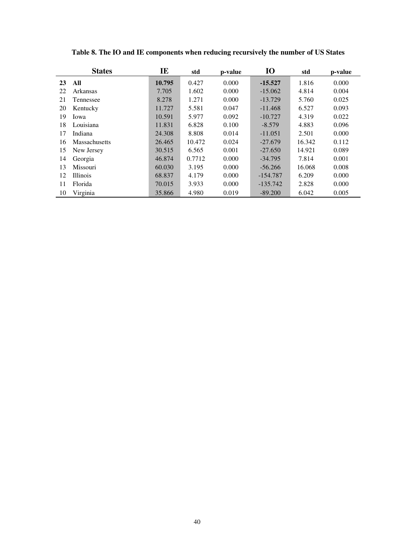|    | <b>States</b>        | IE     | std    | p-value | <b>IO</b>  | std    | p-value |
|----|----------------------|--------|--------|---------|------------|--------|---------|
| 23 | All                  | 10.795 | 0.427  | 0.000   | $-15.527$  | 1.816  | 0.000   |
| 22 | Arkansas             | 7.705  | 1.602  | 0.000   | $-15.062$  | 4.814  | 0.004   |
| 21 | <b>Tennessee</b>     | 8.278  | 1.271  | 0.000   | $-13.729$  | 5.760  | 0.025   |
| 20 | Kentucky             | 11.727 | 5.581  | 0.047   | $-11.468$  | 6.527  | 0.093   |
| 19 | Iowa                 | 10.591 | 5.977  | 0.092   | $-10.727$  | 4.319  | 0.022   |
| 18 | Louisiana            | 11.831 | 6.828  | 0.100   | $-8.579$   | 4.883  | 0.096   |
| 17 | Indiana              | 24.308 | 8.808  | 0.014   | $-11.051$  | 2.501  | 0.000   |
| 16 | <b>Massachusetts</b> | 26.465 | 10.472 | 0.024   | $-27.679$  | 16.342 | 0.112   |
| 15 | New Jersey           | 30.515 | 6.565  | 0.001   | $-27.650$  | 14.921 | 0.089   |
| 14 | Georgia              | 46.874 | 0.7712 | 0.000   | $-34.795$  | 7.814  | 0.001   |
| 13 | <b>Missouri</b>      | 60.030 | 3.195  | 0.000   | $-56.266$  | 16.068 | 0.008   |
| 12 | <b>Illinois</b>      | 68.837 | 4.179  | 0.000   | $-154.787$ | 6.209  | 0.000   |
| 11 | Florida              | 70.015 | 3.933  | 0.000   | $-135.742$ | 2.828  | 0.000   |
| 10 | Virginia             | 35.866 | 4.980  | 0.019   | $-89.200$  | 6.042  | 0.005   |

**Table 8. The IO and IE components when reducing recursively the number of US States**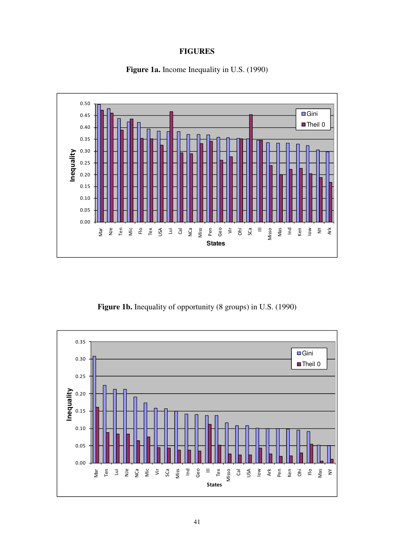# **FIGURES**





Figure 1b. Inequality of opportunity (8 groups) in U.S. (1990)